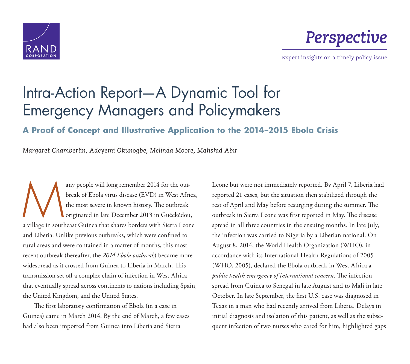



Expert insights on a timely policy issue

# [Intra-Action Report—A Dynamic Tool for](http://www.rand.org/pubs/perspectives/PE147.html)  Emergency Managers and Policymakers

# **A Proof of Concept and Illustrative Application to the 2014–2015 Ebola Crisis**

*Margaret Chamberlin, Adeyemi Okunogbe, Melinda Moore, Mahshid Abir*

any people will long remember 2014 for the out-<br>break of Ebola virus disease (EVD) in West Africa<br>the most severe in known history. The outbreak<br>originated in late December 2013 in Guéckédou,<br>a village in southeast Guinea break of Ebola virus disease (EVD) in West Africa, the most severe in known history. The outbreak originated in late December 2013 in Guéckédou, and Liberia. Unlike previous outbreaks, which were confined to rural areas and were contained in a matter of months, this most recent outbreak (hereafter, the *2014 Ebola outbreak*) became more widespread as it crossed from Guinea to Liberia in March. This transmission set off a complex chain of infection in West Africa that eventually spread across continents to nations including Spain, the United Kingdom, and the United States.

The first laboratory confirmation of Ebola (in a case in Guinea) came in March 2014. By the end of March, a few cases had also been imported from Guinea into Liberia and Sierra

Leone but were not immediately reported. By April 7, Liberia had reported 21 cases, but the situation then stabilized through the rest of April and May before resurging during the summer. The outbreak in Sierra Leone was first reported in May. The disease spread in all three countries in the ensuing months. In late July, the infection was carried to Nigeria by a Liberian national. On August 8, 2014, the World Health Organization (WHO), in accordance with its International Health Regulations of 2005 (WHO, 2005), declared the Ebola outbreak in West Africa a *public health emergency of international concern*. The infection spread from Guinea to Senegal in late August and to Mali in late October. In late September, the first U.S. case was diagnosed in Texas in a man who had recently arrived from Liberia. Delays in initial diagnosis and isolation of this patient, as well as the subsequent infection of two nurses who cared for him, highlighted gaps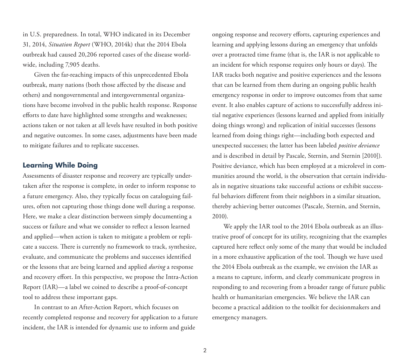in U.S. preparedness. In total, WHO indicated in its December 31, 2014, *Situation Report* (WHO, 2014k) that the 2014 Ebola outbreak had caused 20,206 reported cases of the disease worldwide, including 7,905 deaths.

Given the far-reaching impacts of this unprecedented Ebola outbreak, many nations (both those affected by the disease and others) and nongovernmental and intergovernmental organizations have become involved in the public health response. Response efforts to date have highlighted some strengths and weaknesses; actions taken or not taken at all levels have resulted in both positive and negative outcomes. In some cases, adjustments have been made to mitigate failures and to replicate successes.

#### **Learning While Doing**

Assessments of disaster response and recovery are typically undertaken after the response is complete, in order to inform response to a future emergency. Also, they typically focus on cataloguing failures, often not capturing those things done well during a response. Here, we make a clear distinction between simply documenting a success or failure and what we consider to reflect a lesson learned and applied—when action is taken to mitigate a problem or replicate a success. There is currently no framework to track, synthesize, evaluate, and communicate the problems and successes identified or the lessons that are being learned and applied *during* a response and recovery effort. In this perspective, we propose the Intra-Action Report (IAR)—a label we coined to describe a proof-of-concept tool to address these important gaps.

In contrast to an After-Action Report, which focuses on recently completed response and recovery for application to a future incident, the IAR is intended for dynamic use to inform and guide

ongoing response and recovery efforts, capturing experiences and learning and applying lessons during an emergency that unfolds over a protracted time frame (that is, the IAR is not applicable to an incident for which response requires only hours or days). The IAR tracks both negative and positive experiences and the lessons that can be learned from them during an ongoing public health emergency response in order to improve outcomes from that same event. It also enables capture of actions to successfully address initial negative experiences (lessons learned and applied from initially doing things wrong) and replication of initial successes (lessons learned from doing things right—including both expected and unexpected successes; the latter has been labeled *positive deviance* and is described in detail by Pascale, Sternin, and Sternin [2010]). Positive deviance, which has been employed at a microlevel in communities around the world, is the observation that certain individuals in negative situations take successful actions or exhibit successful behaviors different from their neighbors in a similar situation, thereby achieving better outcomes (Pascale, Sternin, and Sternin, 2010).

We apply the IAR tool to the 2014 Ebola outbreak as an illustrative proof of concept for its utility, recognizing that the examples captured here reflect only some of the many that would be included in a more exhaustive application of the tool. Though we have used the 2014 Ebola outbreak as the example, we envision the IAR as a means to capture, inform, and clearly communicate progress in responding to and recovering from a broader range of future public health or humanitarian emergencies. We believe the IAR can become a practical addition to the toolkit for decisionmakers and emergency managers.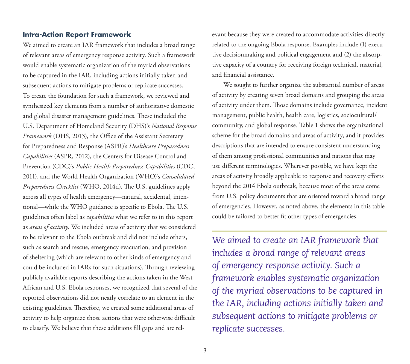## **Intra-Action Report Framework**

We aimed to create an IAR framework that includes a broad range of relevant areas of emergency response activity. Such a framework would enable systematic organization of the myriad observations to be captured in the IAR, including actions initially taken and subsequent actions to mitigate problems or replicate successes. To create the foundation for such a framework, we reviewed and synthesized key elements from a number of authoritative domestic and global disaster management guidelines. These included the U.S. Department of Homeland Security (DHS)'s *National Response Framework* (DHS, 2013), the Office of the Assistant Secretary for Preparedness and Response (ASPR)'s *Healthcare Preparedness Capabilities* (ASPR, 2012), the Centers for Disease Control and Prevention (CDC)'s *Public Health Preparedness Capabilities* (CDC, 2011), and the World Health Organization (WHO)'s *Consolidated Preparedness Checklist* (WHO, 2014d). The U.S. guidelines apply across all types of health emergency—natural, accidental, intentional—while the WHO guidance is specific to Ebola. The U.S. guidelines often label as *capabilities* what we refer to in this report as *areas of activity*. We included areas of activity that we considered to be relevant to the Ebola outbreak and did not include others, such as search and rescue, emergency evacuation, and provision of sheltering (which are relevant to other kinds of emergency and could be included in IARs for such situations). Through reviewing publicly available reports describing the actions taken in the West African and U.S. Ebola responses, we recognized that several of the reported observations did not neatly correlate to an element in the existing guidelines. Therefore, we created some additional areas of activity to help organize those actions that were otherwise difficult to classify. We believe that these additions fill gaps and are relevant because they were created to accommodate activities directly related to the ongoing Ebola response. Examples include (1) executive decisionmaking and political engagement and (2) the absorptive capacity of a country for receiving foreign technical, material, and financial assistance.

We sought to further organize the substantial number of areas of activity by creating seven broad domains and grouping the areas of activity under them. Those domains include governance, incident management, public health, health care, logistics, sociocultural/ community, and global response. Table 1 shows the organizational scheme for the broad domains and areas of activity, and it provides descriptions that are intended to ensure consistent understanding of them among professional communities and nations that may use different terminologies. Wherever possible, we have kept the areas of activity broadly applicable to response and recovery efforts beyond the 2014 Ebola outbreak, because most of the areas come from U.S. policy documents that are oriented toward a broad range of emergencies. However, as noted above, the elements in this table could be tailored to better fit other types of emergencies.

*We aimed to create an IAR framework that includes a broad range of relevant areas of emergency response activity. Such a framework enables systematic organization of the myriad observations to be captured in the IAR, including actions initially taken and subsequent actions to mitigate problems or replicate successes.*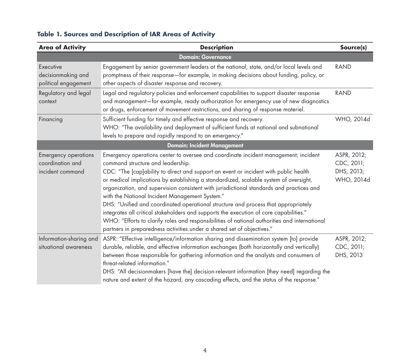| <b>Area of Activity</b>                                             | <b>Description</b>                                                                                                                                                                                                                                                                                                                                                                                                                                                                                                                                                                                                                                                                                                                                                                                                 | Source(s)                                             |
|---------------------------------------------------------------------|--------------------------------------------------------------------------------------------------------------------------------------------------------------------------------------------------------------------------------------------------------------------------------------------------------------------------------------------------------------------------------------------------------------------------------------------------------------------------------------------------------------------------------------------------------------------------------------------------------------------------------------------------------------------------------------------------------------------------------------------------------------------------------------------------------------------|-------------------------------------------------------|
|                                                                     | <b>Domain: Governance</b>                                                                                                                                                                                                                                                                                                                                                                                                                                                                                                                                                                                                                                                                                                                                                                                          |                                                       |
| Executive<br>decisionmaking and<br>political engagement             | Engagement by senior government leaders at the national, state, and/or local levels and<br>promptness of their response-for example, in making decisions about funding, policy, or<br>other aspects of disaster response and recovery.                                                                                                                                                                                                                                                                                                                                                                                                                                                                                                                                                                             | <b>RAND</b>                                           |
| Regulatory and legal<br>context                                     | Legal and regulatory policies and enforcement capabilities to support disaster response<br>and management-for example, ready authorization for emergency use of new diagnostics<br>or drugs, enforcement of movement restrictions, and sharing of response materiel.                                                                                                                                                                                                                                                                                                                                                                                                                                                                                                                                               | <b>RAND</b>                                           |
| Financing                                                           | Sufficient funding for timely and effective response and recovery.<br>WHO: "The availability and deployment of sufficient funds at national and subnational<br>levels to prepare and rapidly respond to an emergency."                                                                                                                                                                                                                                                                                                                                                                                                                                                                                                                                                                                             | WHO, 2014d                                            |
|                                                                     | <b>Domain: Incident Management</b>                                                                                                                                                                                                                                                                                                                                                                                                                                                                                                                                                                                                                                                                                                                                                                                 |                                                       |
| <b>Emergency operations</b><br>coordination and<br>incident command | Emergency operations center to oversee and coordinate incident management; incident<br>command structure and leadership.<br>CDC: "The [cap]ability to direct and support an event or incident with public health<br>or medical implications by establishing a standardized, scalable system of oversight,<br>organization, and supervision consistent with jurisdictional standards and practices and<br>with the National Incident Management System."<br>DHS: "Unified and coordinated operational structure and process that appropriately<br>integrates all critical stakeholders and supports the execution of core capabilities."<br>WHO: "Efforts to clarify roles and responsibilities of national authorities and international<br>partners in preparedness activities under a shared set of objectives." | ASPR, 2012;<br>CDC, 2011;<br>DHS, 2013;<br>WHO, 2014d |
| Information-sharing and<br>situational awareness                    | ASPR: "Effective intelligence/information sharing and dissemination system [to] provide<br>durable, reliable, and effective information exchanges (both horizontally and vertically)<br>between those responsible for gathering information and the analysts and consumers of<br>threat-related information."<br>DHS: "All decisionmakers [have the] decision-relevant information [they need] regarding the<br>nature and extent of the hazard, any cascading effects, and the status of the response."                                                                                                                                                                                                                                                                                                           | ASPR, 2012;<br>CDC, 2011;<br>DHS, 2013                |

# **Table 1. Sources and Description of IAR Areas of Activity**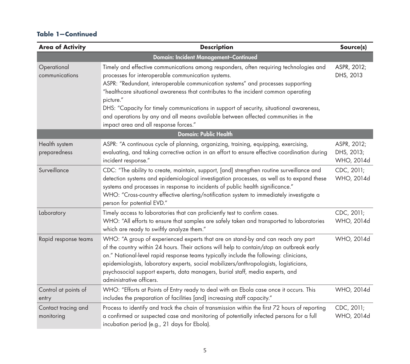| <b>Area of Activity</b>           | <b>Description</b>                                                                                                                                                                                                                                                                                                                                                                                                                                                                                                                                           | Source(s)                               |
|-----------------------------------|--------------------------------------------------------------------------------------------------------------------------------------------------------------------------------------------------------------------------------------------------------------------------------------------------------------------------------------------------------------------------------------------------------------------------------------------------------------------------------------------------------------------------------------------------------------|-----------------------------------------|
|                                   | Domain: Incident Management-Continued                                                                                                                                                                                                                                                                                                                                                                                                                                                                                                                        |                                         |
| Operational<br>communications     | Timely and effective communications among responders, often requiring technologies and<br>processes for interoperable communication systems.<br>ASPR: "Redundant, interoperable communication systems" and processes supporting<br>"healthcare situational awareness that contributes to the incident common operating<br>picture."<br>DHS: "Capacity for timely communications in support of security, situational awareness,<br>and operations by any and all means available between affected communities in the<br>impact area and all response forces." | ASPR, 2012;<br>DHS, 2013                |
|                                   | <b>Domain: Public Health</b>                                                                                                                                                                                                                                                                                                                                                                                                                                                                                                                                 |                                         |
| Health system<br>preparedness     | ASPR: "A continuous cycle of planning, organizing, training, equipping, exercising,<br>evaluating, and taking corrective action in an effort to ensure effective coordination during<br>incident response."                                                                                                                                                                                                                                                                                                                                                  | ASPR, 2012;<br>DHS, 2013;<br>WHO, 2014d |
| Surveillance                      | CDC: "The ability to create, maintain, support, [and] strengthen routine surveillance and<br>detection systems and epidemiological investigation processes, as well as to expand these<br>systems and processes in response to incidents of public health significance."<br>WHO: "Cross-country effective alerting/notification system to immediately investigate a<br>person for potential EVD."                                                                                                                                                            | CDC, 2011;<br>WHO, 2014d                |
| Laboratory                        | Timely access to laboratories that can proficiently test to confirm cases.<br>WHO: "All efforts to ensure that samples are safely taken and transported to laboratories<br>which are ready to swiftly analyze them."                                                                                                                                                                                                                                                                                                                                         | CDC, 2011;<br>WHO, 2014d                |
| Rapid response teams              | WHO: "A group of experienced experts that are on stand-by and can reach any part<br>of the country within 24 hours. Their actions will help to contain/stop an outbreak early<br>on." National-level rapid response teams typically include the following: clinicians,<br>epidemiologists, laboratory experts, social mobilizers/anthropologists, logisticians,<br>psychosocial support experts, data managers, burial staff, media experts, and<br>administrative officers.                                                                                 | WHO, 2014d                              |
| Control at points of<br>entry     | WHO: "Efforts at Points of Entry ready to deal with an Ebola case once it occurs. This<br>includes the preparation of facilities [and] increasing staff capacity."                                                                                                                                                                                                                                                                                                                                                                                           | WHO, 2014d                              |
| Contact tracing and<br>monitoring | Process to identify and track the chain of transmission within the first 72 hours of reporting<br>a confirmed or suspected case and monitoring of potentially infected persons for a full<br>incubation period (e.g., 21 days for Ebola).                                                                                                                                                                                                                                                                                                                    | CDC, 2011;<br>WHO, 2014d                |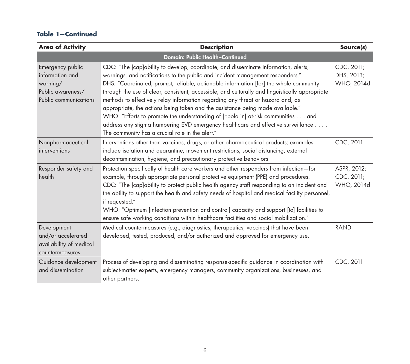| <b>Area of Activity</b>                                                                       | <b>Description</b>                                                                                                                                                                                                                                                                                                                                                                                                                                                                                                                                                                                                                                                                                                                                                | Source(s)                               |
|-----------------------------------------------------------------------------------------------|-------------------------------------------------------------------------------------------------------------------------------------------------------------------------------------------------------------------------------------------------------------------------------------------------------------------------------------------------------------------------------------------------------------------------------------------------------------------------------------------------------------------------------------------------------------------------------------------------------------------------------------------------------------------------------------------------------------------------------------------------------------------|-----------------------------------------|
|                                                                                               | <b>Domain: Public Health-Continued</b>                                                                                                                                                                                                                                                                                                                                                                                                                                                                                                                                                                                                                                                                                                                            |                                         |
| Emergency public<br>information and<br>warning/<br>Public awareness/<br>Public communications | CDC: "The [cap]ability to develop, coordinate, and disseminate information, alerts,<br>warnings, and notifications to the public and incident management responders."<br>DHS: "Coordinated, prompt, reliable, actionable information [for] the whole community<br>through the use of clear, consistent, accessible, and culturally and linguistically appropriate<br>methods to effectively relay information regarding any threat or hazard and, as<br>appropriate, the actions being taken and the assistance being made available."<br>WHO: "Efforts to promote the understanding of [Ebola in] at-risk communities and<br>address any stigma hampering EVD emergency healthcare and effective surveillance<br>The community has a crucial role in the alert." | CDC, 2011;<br>DHS, 2013;<br>WHO, 2014d  |
| Nonpharmaceutical<br>interventions                                                            | Interventions other than vaccines, drugs, or other pharmaceutical products; examples<br>include isolation and quarantine, movement restrictions, social distancing, external<br>decontamination, hygiene, and precautionary protective behaviors.                                                                                                                                                                                                                                                                                                                                                                                                                                                                                                                 | CDC, 2011                               |
| Responder safety and<br>health                                                                | Protection specifically of health care workers and other responders from infection-for<br>example, through appropriate personal protective equipment (PPE) and procedures.<br>CDC: "The [cap]ability to protect public health agency staff responding to an incident and<br>the ability to support the health and safety needs of hospital and medical facility personnel,<br>if requested."<br>WHO: "Optimum [infection prevention and control] capacity and support [to] facilities to<br>ensure safe working conditions within healthcare facilities and social mobilization."                                                                                                                                                                                 | ASPR, 2012;<br>CDC, 2011;<br>WHO, 2014d |
| Development<br>and/or accelerated<br>availability of medical<br>countermeasures               | Medical countermeasures (e.g., diagnostics, therapeutics, vaccines) that have been<br>developed, tested, produced, and/or authorized and approved for emergency use.                                                                                                                                                                                                                                                                                                                                                                                                                                                                                                                                                                                              | <b>RAND</b>                             |
| Guidance development<br>and dissemination                                                     | Process of developing and disseminating response-specific guidance in coordination with<br>subject-matter experts, emergency managers, community organizations, businesses, and<br>other partners.                                                                                                                                                                                                                                                                                                                                                                                                                                                                                                                                                                | CDC, 2011                               |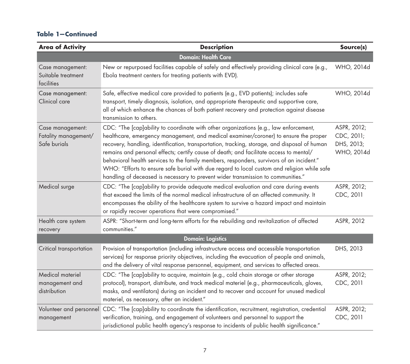| <b>Area of Activity</b>                                  | <b>Description</b>                                                                                                                                                                                                                                                                                                                                                                                                                                                                                                                                                                                                                                     | Source(s)                                             |
|----------------------------------------------------------|--------------------------------------------------------------------------------------------------------------------------------------------------------------------------------------------------------------------------------------------------------------------------------------------------------------------------------------------------------------------------------------------------------------------------------------------------------------------------------------------------------------------------------------------------------------------------------------------------------------------------------------------------------|-------------------------------------------------------|
|                                                          | <b>Domain: Health Care</b>                                                                                                                                                                                                                                                                                                                                                                                                                                                                                                                                                                                                                             |                                                       |
| Case management:<br>Suitable treatment<br>facilities     | New or repurposed facilities capable of safely and effectively providing clinical care (e.g.,<br>Ebola treatment centers for treating patients with EVD).                                                                                                                                                                                                                                                                                                                                                                                                                                                                                              | WHO, 2014d                                            |
| Case management:<br>Clinical care                        | Safe, effective medical care provided to patients (e.g., EVD patients); includes safe<br>transport, timely diagnosis, isolation, and appropriate therapeutic and supportive care,<br>all of which enhance the chances of both patient recovery and protection against disease<br>transmission to others.                                                                                                                                                                                                                                                                                                                                               | WHO, 2014d                                            |
| Case management:<br>Fatality management/<br>Safe burials | CDC: "The [cap]ability to coordinate with other organizations (e.g., law enforcement,<br>healthcare, emergency management, and medical examiner/coroner) to ensure the proper<br>recovery, handling, identification, transportation, tracking, storage, and disposal of human<br>remains and personal effects; certify cause of death; and facilitate access to mental/<br>behavioral health services to the family members, responders, survivors of an incident."<br>WHO: "Efforts to ensure safe burial with due regard to local custom and religion while safe<br>handling of deceased is necessary to prevent wider transmission to communities." | ASPR, 2012;<br>CDC, 2011;<br>DHS, 2013;<br>WHO, 2014d |
| Medical surge                                            | CDC: "The [cap]ability to provide adequate medical evaluation and care during events<br>that exceed the limits of the normal medical infrastructure of an affected community. It<br>encompasses the ability of the healthcare system to survive a hazard impact and maintain<br>or rapidly recover operations that were compromised."                                                                                                                                                                                                                                                                                                                  | ASPR, 2012;<br>CDC, 2011                              |
| Health care system<br>recovery                           | ASPR: "Short-term and long-term efforts for the rebuilding and revitalization of affected<br>communities."                                                                                                                                                                                                                                                                                                                                                                                                                                                                                                                                             | ASPR, 2012                                            |
|                                                          | <b>Domain: Logistics</b>                                                                                                                                                                                                                                                                                                                                                                                                                                                                                                                                                                                                                               |                                                       |
| Critical transportation                                  | Provision of transportation (including infrastructure access and accessible transportation<br>services) for response priority objectives, including the evacuation of people and animals,<br>and the delivery of vital response personnel, equipment, and services to affected areas.                                                                                                                                                                                                                                                                                                                                                                  | DHS, 2013                                             |
| Medical materiel<br>management and<br>distribution       | CDC: "The [cap]ability to acquire, maintain (e.g., cold chain storage or other storage<br>protocol), transport, distribute, and track medical materiel (e.g., pharmaceuticals, gloves,<br>masks, and ventilators) during an incident and to recover and account for unused medical<br>materiel, as necessary, after an incident."                                                                                                                                                                                                                                                                                                                      | ASPR, 2012;<br>CDC, 2011                              |
| Volunteer and personnel<br>management                    | CDC: "The [cap]ability to coordinate the identification, recruitment, registration, credential<br>verification, training, and engagement of volunteers and personnel to support the<br>jurisdictional public health agency's response to incidents of public health significance."                                                                                                                                                                                                                                                                                                                                                                     | ASPR, 2012;<br>CDC, 2011                              |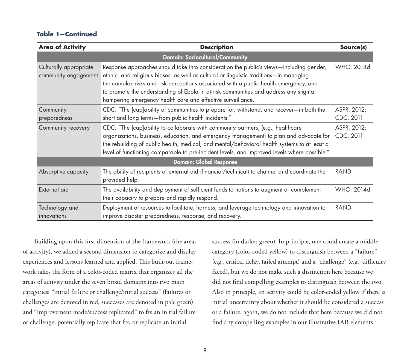| <b>Area of Activity</b>                        | <b>Description</b>                                                                                                                                                                                                                                                                                                                                                                                                               | Source(s)                |
|------------------------------------------------|----------------------------------------------------------------------------------------------------------------------------------------------------------------------------------------------------------------------------------------------------------------------------------------------------------------------------------------------------------------------------------------------------------------------------------|--------------------------|
|                                                | <b>Domain: Sociocultural/Community</b>                                                                                                                                                                                                                                                                                                                                                                                           |                          |
| Culturally appropriate<br>community engagement | Response approaches should take into consideration the public's views—including gender,<br>ethnic, and religious biases, as well as cultural or linguistic traditions-in managing<br>the complex risks and risk perceptions associated with a public health emergency, and<br>to promote the understanding of Ebola in at-risk communities and address any stigma<br>hampering emergency health care and effective surveillance. | WHO, 2014d               |
| Community<br>preparedness                      | CDC: "The [cap]ability of communities to prepare for, withstand, and recover-in both the<br>short and long terms-from public health incidents."                                                                                                                                                                                                                                                                                  | ASPR, 2012;<br>CDC, 2011 |
| Community recovery                             | CDC: "The [cap]ability to collaborate with community partners, (e.g., healthcare<br>organizations, business, education, and emergency management) to plan and advocate for<br>the rebuilding of public health, medical, and mental/behavioral health systems to at least a<br>level of functioning comparable to pre-incident levels, and improved levels where possible."                                                       | ASPR, 2012;<br>CDC, 2011 |
|                                                | <b>Domain: Global Response</b>                                                                                                                                                                                                                                                                                                                                                                                                   |                          |
| Absorptive capacity                            | The ability of recipients of external aid (financial/technical) to channel and coordinate the<br>provided help.                                                                                                                                                                                                                                                                                                                  | <b>RAND</b>              |
| External aid                                   | The availability and deployment of sufficient funds to nations to augment or complement<br>their capacity to prepare and rapidly respond.                                                                                                                                                                                                                                                                                        | WHO, 2014d               |
| Technology and<br>innovations                  | Deployment of resources to facilitate, harness, and leverage technology and innovation to<br>improve disaster preparedness, response, and recovery.                                                                                                                                                                                                                                                                              | RAND                     |

Building upon this first dimension of the framework (the areas of activity), we added a second dimension to categorize and display experiences and lessons learned and applied. This built-out framework takes the form of a color-coded matrix that organizes all the areas of activity under the seven broad domains into two main categories: "initial failure or challenge/initial success" (failures or challenges are denoted in red, successes are denoted in pale green) and "improvement made/success replicated" to fix an initial failure or challenge, potentially replicate that fix, or replicate an initial

success (in darker green). In principle, one could create a middle category (color-coded yellow) to distinguish between a "failure" (e.g., critical delay, failed attempt) and a "challenge" (e.g., difficulty faced), but we do not make such a distinction here because we did not find compelling examples to distinguish between the two. Also in principle, an activity could be color-coded yellow if there is initial uncertainty about whether it should be considered a success or a failure; again, we do not include that here because we did not find any compelling examples in our illustrative IAR elements.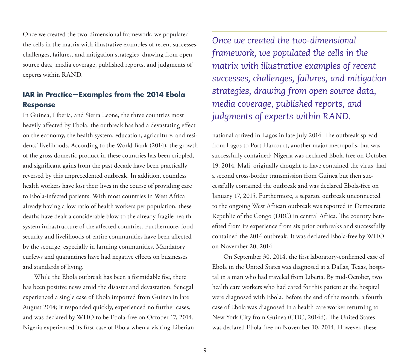Once we created the two-dimensional framework, we populated the cells in the matrix with illustrative examples of recent successes, challenges, failures, and mitigation strategies, drawing from open source data, media coverage, published reports, and judgments of experts within RAND.

# **IAR in Practice—Examples from the 2014 Ebola Response**

In Guinea, Liberia, and Sierra Leone, the three countries most heavily affected by Ebola, the outbreak has had a devastating effect on the economy, the health system, education, agriculture, and residents' livelihoods. According to the World Bank (2014), the growth of the gross domestic product in these countries has been crippled, and significant gains from the past decade have been practically reversed by this unprecedented outbreak. In addition, countless health workers have lost their lives in the course of providing care to Ebola-infected patients. With most countries in West Africa already having a low ratio of health workers per population, these deaths have dealt a considerable blow to the already fragile health system infrastructure of the affected countries. Furthermore, food security and livelihoods of entire communities have been affected by the scourge, especially in farming communities. Mandatory curfews and quarantines have had negative effects on businesses and standards of living.

While the Ebola outbreak has been a formidable foe, there has been positive news amid the disaster and devastation. Senegal experienced a single case of Ebola imported from Guinea in late August 2014; it responded quickly, experienced no further cases, and was declared by WHO to be Ebola-free on October 17, 2014. Nigeria experienced its first case of Ebola when a visiting Liberian

*Once we created the two-dimensional framework, we populated the cells in the matrix with illustrative examples of recent successes, challenges, failures, and mitigation strategies, drawing from open source data, media coverage, published reports, and judgments of experts within RAND.*

national arrived in Lagos in late July 2014. The outbreak spread from Lagos to Port Harcourt, another major metropolis, but was successfully contained; Nigeria was declared Ebola-free on October 19, 2014. Mali, originally thought to have contained the virus, had a second cross-border transmission from Guinea but then successfully contained the outbreak and was declared Ebola-free on January 17, 2015. Furthermore, a separate outbreak unconnected to the ongoing West African outbreak was reported in Democratic Republic of the Congo (DRC) in central Africa. The country benefited from its experience from six prior outbreaks and successfully contained the 2014 outbreak. It was declared Ebola-free by WHO on November 20, 2014.

On September 30, 2014, the first laboratory-confirmed case of Ebola in the United States was diagnosed at a Dallas, Texas, hospital in a man who had traveled from Liberia. By mid-October, two health care workers who had cared for this patient at the hospital were diagnosed with Ebola. Before the end of the month, a fourth case of Ebola was diagnosed in a health care worker returning to New York City from Guinea (CDC, 2014d). The United States was declared Ebola-free on November 10, 2014. However, these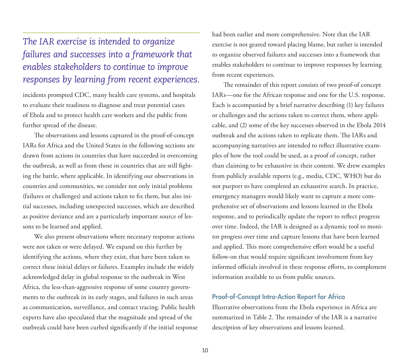# *The IAR exercise is intended to organize failures and successes into a framework that enables stakeholders to continue to improve responses by learning from recent experiences.*

incidents prompted CDC, many health care systems, and hospitals to evaluate their readiness to diagnose and treat potential cases of Ebola and to protect health care workers and the public from further spread of the disease.

The observations and lessons captured in the proof-of-concept IARs for Africa and the United States in the following sections are drawn from actions in countries that have succeeded in overcoming the outbreak, as well as from those in countries that are still fighting the battle, where applicable. In identifying our observations in countries and communities, we consider not only initial problems (failures or challenges) and actions taken to fix them, but also initial successes, including unexpected successes, which are described as positive deviance and are a particularly important source of lessons to be learned and applied.

We also present observations where necessary response actions were not taken or were delayed. We expand on this further by identifying the actions, where they exist, that have been taken to correct these initial delays or failures. Examples include the widely acknowledged delay in global response to the outbreak in West Africa, the less-than-aggressive response of some country governments to the outbreak in its early stages, and failures in such areas as communication, surveillance, and contact tracing. Public health experts have also speculated that the magnitude and spread of the outbreak could have been curbed significantly if the initial response had been earlier and more comprehensive. Note that the IAR exercise is not geared toward placing blame, but rather is intended to organize observed failures and successes into a framework that enables stakeholders to continue to improve responses by learning from recent experiences.

The remainder of this report consists of two proof-of concept IARs—one for the African response and one for the U.S. response. Each is accompanied by a brief narrative describing (1) key failures or challenges and the actions taken to correct them, where applicable, and (2) some of the key successes observed in the Ebola 2014 outbreak and the actions taken to replicate them. The IARs and accompanying narratives are intended to reflect illustrative examples of how the tool could be used, as a proof of concept, rather than claiming to be exhaustive in their content. We drew examples from publicly available reports (e.g., media, CDC, WHO) but do not purport to have completed an exhaustive search. In practice, emergency managers would likely want to capture a more comprehensive set of observations and lessons learned in the Ebola response, and to periodically update the report to reflect progress over time. Indeed, the IAR is designed as a dynamic tool to monitor progress over time and capture lessons that have been learned and applied. This more comprehensive effort would be a useful follow-on that would require significant involvement from key informed officials involved in these response efforts, to complement information available to us from public sources.

## Proof-of-Concept Intra-Action Report for Africa

Illustrative observations from the Ebola experience in Africa are summarized in Table 2. The remainder of the IAR is a narrative description of key observations and lessons learned.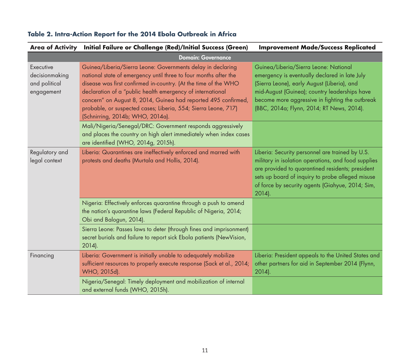| <b>Area of Activity</b>                                    | Initial Failure or Challenge (Red)/Initial Success (Green)                                                                                                                                                                                                                                                                                                                                                                               | <b>Improvement Made/Success Replicated</b>                                                                                                                                                                                                                                             |
|------------------------------------------------------------|------------------------------------------------------------------------------------------------------------------------------------------------------------------------------------------------------------------------------------------------------------------------------------------------------------------------------------------------------------------------------------------------------------------------------------------|----------------------------------------------------------------------------------------------------------------------------------------------------------------------------------------------------------------------------------------------------------------------------------------|
|                                                            | <b>Domain: Governance</b>                                                                                                                                                                                                                                                                                                                                                                                                                |                                                                                                                                                                                                                                                                                        |
| Executive<br>decisionmaking<br>and political<br>engagement | Guinea/Liberia/Sierra Leone: Governments delay in declaring<br>national state of emergency until three to four months after the<br>disease was first confirmed in-country. (At the time of the WHO<br>declaration of a "public health emergency of international<br>concern" on August 8, 2014, Guinea had reported 495 confirmed,<br>probable, or suspected cases; Liberia, 554; Sierra Leone, 717)<br>(Schnirring, 2014b; WHO, 2014a). | Guinea/Liberia/Sierra Leone: National<br>emergency is eventually declared in late July<br>(Sierra Leone), early August (Liberia), and<br>mid-August (Guinea); country leaderships have<br>become more aggressive in fighting the outbreak<br>(BBC, 2014a; Flynn, 2014; RT News, 2014). |
|                                                            | Mali/Nigeria/Senegal/DRC: Government responds aggressively<br>and places the country on high alert immediately when index cases<br>are identified (WHO, 2014g, 2015h).                                                                                                                                                                                                                                                                   |                                                                                                                                                                                                                                                                                        |
| Regulatory and<br>legal context                            | Liberia: Quarantines are ineffectively enforced and marred with<br>protests and deaths (Murtala and Hollis, 2014).                                                                                                                                                                                                                                                                                                                       | Liberia: Security personnel are trained by U.S.<br>military in isolation operations, and food supplies<br>are provided to quarantined residents; president<br>sets up board of inquiry to probe alleged misuse<br>of force by security agents (Giahyue, 2014; Sim,<br>2014).           |
|                                                            | Nigeria: Effectively enforces quarantine through a push to amend<br>the nation's quarantine laws (Federal Republic of Nigeria, 2014;<br>Obi and Balogun, 2014).                                                                                                                                                                                                                                                                          |                                                                                                                                                                                                                                                                                        |
|                                                            | Sierra Leone: Passes laws to deter (through fines and imprisonment)<br>secret burials and failure to report sick Ebola patients (NewVision,<br>2014).                                                                                                                                                                                                                                                                                    |                                                                                                                                                                                                                                                                                        |
| Financing                                                  | Liberia: Government is initially unable to adequately mobilize<br>sufficient resources to properly execute response (Sack et al., 2014;<br>WHO, 2015d).                                                                                                                                                                                                                                                                                  | Liberia: President appeals to the United States and<br>other partners for aid in September 2014 (Flynn,<br>$2014$ ).                                                                                                                                                                   |
|                                                            | Nigeria/Senegal: Timely deployment and mobilization of internal<br>and external funds (WHO, 2015h).                                                                                                                                                                                                                                                                                                                                      |                                                                                                                                                                                                                                                                                        |

# **Table 2. Intra-Action Report for the 2014 Ebola Outbreak in Africa**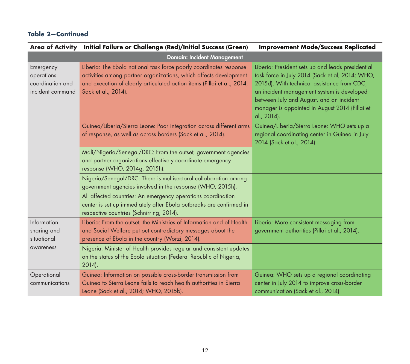|                                                                 | Area of Activity Initial Failure or Challenge (Red)/Initial Success (Green)                                                                                                                                                               | <b>Improvement Made/Success Replicated</b>                                                                                                                                                                                                                                                                     |
|-----------------------------------------------------------------|-------------------------------------------------------------------------------------------------------------------------------------------------------------------------------------------------------------------------------------------|----------------------------------------------------------------------------------------------------------------------------------------------------------------------------------------------------------------------------------------------------------------------------------------------------------------|
|                                                                 | <b>Domain: Incident Management</b>                                                                                                                                                                                                        |                                                                                                                                                                                                                                                                                                                |
| Emergency<br>operations<br>coordination and<br>incident command | Liberia: The Ebola national task force poorly coordinates response<br>activities among partner organizations, which affects development<br>and execution of clearly articulated action items (Pillai et al., 2014;<br>Sack et al., 2014). | Liberia: President sets up and leads presidential<br>task force in July 2014 (Sack et al, 2014; WHO,<br>2015d). With technical assistance from CDC,<br>an incident management system is developed<br>between July and August, and an incident<br>manager is appointed in August 2014 (Pillai et<br>al., 2014). |
|                                                                 | Guinea/Liberia/Sierra Leone: Poor integration across different arms<br>of response, as well as across borders (Sack et al., 2014).                                                                                                        | Guinea/Liberia/Sierra Leone: WHO sets up a<br>regional coordinating center in Guinea in July<br>2014 (Sack et al., 2014).                                                                                                                                                                                      |
|                                                                 | Mali/Nigeria/Senegal/DRC: From the outset, government agencies<br>and partner organizations effectively coordinate emergency<br>response (WHO, 2014g, 2015h).                                                                             |                                                                                                                                                                                                                                                                                                                |
|                                                                 | Nigeria/Senegal/DRC: There is multisectoral collaboration among<br>government agencies involved in the response (WHO, 2015h).                                                                                                             |                                                                                                                                                                                                                                                                                                                |
|                                                                 | All affected countries: An emergency operations coordination<br>center is set up immediately after Ebola outbreaks are confirmed in<br>respective countries (Schnirring, 2014).                                                           |                                                                                                                                                                                                                                                                                                                |
| Information-<br>sharing and<br>situational<br>awareness         | Liberia: From the outset, the Ministries of Information and of Health<br>and Social Welfare put out contradictory messages about the<br>presence of Ebola in the country (Worzi, 2014).                                                   | Liberia: More-consistent messaging from<br>government authorities (Pillai et al., 2014).                                                                                                                                                                                                                       |
|                                                                 | Nigeria: Minister of Health provides regular and consistent updates<br>on the status of the Ebola situation (Federal Republic of Nigeria,<br>$2014$ ).                                                                                    |                                                                                                                                                                                                                                                                                                                |
| Operational<br>communications                                   | Guinea: Information on possible cross-border transmission from<br>Guinea to Sierra Leone fails to reach health authorities in Sierra<br>Leone (Sack et al., 2014; WHO, 2015b).                                                            | Guinea: WHO sets up a regional coordinating<br>center in July 2014 to improve cross-border<br>communication (Sack et al., 2014).                                                                                                                                                                               |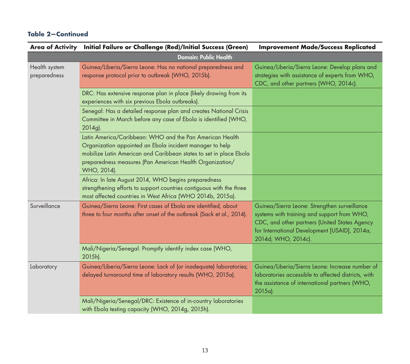|                               | Area of Activity Initial Failure or Challenge (Red)/Initial Success (Green)                                                                                                                                                                                           | <b>Improvement Made/Success Replicated</b>                                                                                                                                                                           |
|-------------------------------|-----------------------------------------------------------------------------------------------------------------------------------------------------------------------------------------------------------------------------------------------------------------------|----------------------------------------------------------------------------------------------------------------------------------------------------------------------------------------------------------------------|
|                               | <b>Domain: Public Health</b>                                                                                                                                                                                                                                          |                                                                                                                                                                                                                      |
| Health system<br>preparedness | Guinea/Liberia/Sierra Leone: Has no national preparedness and<br>response protocol prior to outbreak (WHO, 2015b).                                                                                                                                                    | Guinea/Liberia/Sierra Leone: Develop plans and<br>strategies with assistance of experts from WHO,<br>CDC, and other partners (WHO, 2014c).                                                                           |
|                               | DRC: Has extensive response plan in place (likely drawing from its<br>experiences with six previous Ebola outbreaks).                                                                                                                                                 |                                                                                                                                                                                                                      |
|                               | Senegal: Has a detailed response plan and creates National Crisis<br>Committee in March before any case of Ebola is identified (WHO,<br>2014g).                                                                                                                       |                                                                                                                                                                                                                      |
|                               | Latin America/Caribbean: WHO and the Pan American Health<br>Organization appointed an Ebola incident manager to help<br>mobilize Latin American and Caribbean states to set in place Ebola<br>preparedness measures (Pan American Health Organization/<br>WHO, 2014). |                                                                                                                                                                                                                      |
|                               | Africa: In late August 2014, WHO begins preparedness<br>strengthening efforts to support countries contiguous with the three<br>most affected countries in West Africa (WHO 2014b, 2015a).                                                                            |                                                                                                                                                                                                                      |
| Surveillance                  | Guinea/Sierra Leone: First cases of Ebola are identified, about<br>three to four months after onset of the outbreak (Sack et al., 2014).                                                                                                                              | Guinea/Sierra Leone: Strengthen surveillance<br>systems with training and support from WHO,<br>CDC, and other partners (United States Agency<br>for International Development [USAID], 2014a,<br>2014d; WHO, 2014c). |
|                               | Mali/Nigeria/Senegal: Promptly identify index case (WHO,<br>2015h).                                                                                                                                                                                                   |                                                                                                                                                                                                                      |
| Laboratory                    | Guinea/Liberia/Sierra Leone: Lack of (or inadequate) laboratories;<br>delayed turnaround time of laboratory results (WHO, 2015a).                                                                                                                                     | Guinea/Liberia/Sierra Leone: Increase number of<br>laboratories accessible to affected districts, with<br>the assistance of international partners (WHO,<br>2015a).                                                  |
|                               | Mali/Nigeria/Senegal/DRC: Existence of in-country laboratories<br>with Ebola testing capacity (WHO, 2014g, 2015h).                                                                                                                                                    |                                                                                                                                                                                                                      |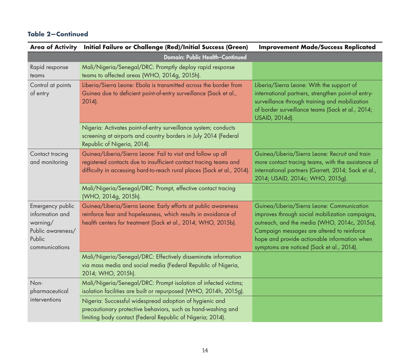|                                                                                                  | Area of Activity Initial Failure or Challenge (Red)/Initial Success (Green)                                                                                                                                  | <b>Improvement Made/Success Replicated</b>                                                                                                                                                                                                                                               |
|--------------------------------------------------------------------------------------------------|--------------------------------------------------------------------------------------------------------------------------------------------------------------------------------------------------------------|------------------------------------------------------------------------------------------------------------------------------------------------------------------------------------------------------------------------------------------------------------------------------------------|
|                                                                                                  | <b>Domain: Public Health-Continued</b>                                                                                                                                                                       |                                                                                                                                                                                                                                                                                          |
| Rapid response<br>teams                                                                          | Mali/Nigeria/Senegal/DRC: Promptly deploy rapid response<br>teams to affected areas (WHO, 2014g, 2015h).                                                                                                     |                                                                                                                                                                                                                                                                                          |
| Control at points<br>of entry                                                                    | Liberia/Sierra Leone: Ebola is transmitted across the border from<br>Guinea due to deficient point-of-entry surveillance (Sack et al.,<br>2014).                                                             | Liberia/Sierra Leone: With the support of<br>international partners, strengthen point-of entry-<br>surveillance through training and mobilization<br>of border surveillance teams (Sack et al., 2014;<br>USAID, 2014d).                                                                  |
|                                                                                                  | Nigeria: Activates point-of-entry surveillance system; conducts<br>screening at airports and country borders in July 2014 (Federal<br>Republic of Nigeria, 2014).                                            |                                                                                                                                                                                                                                                                                          |
| Contact tracing<br>and monitoring                                                                | Guinea/Liberia/Sierra Leone: Fail to visit and follow up all<br>registered contacts due to insufficient contact tracing teams and<br>difficulty in accessing hard-to-reach rural places (Sack et al., 2014). | Guinea/Liberia/Sierra Leone: Recruit and train<br>more contact tracing teams, with the assistance of<br>international partners (Garrett, 2014; Sack et al.,<br>2014; USAID, 2014c; WHO, 2015g).                                                                                          |
|                                                                                                  | Mali/Nigeria/Senegal/DRC: Prompt, effective contact tracing<br>(WHO, 2014g, 2015h).                                                                                                                          |                                                                                                                                                                                                                                                                                          |
| Emergency public<br>information and<br>warning/<br>Public awareness/<br>Public<br>communications | Guinea/Liberia/Sierra Leone: Early efforts at public awareness<br>reinforce fear and hopelessness, which results in avoidance of<br>health centers for treatment (Sack et al., 2014; WHO, 2015b).            | Guinea/Liberia/Sierra Leone: Communication<br>improves through social mobilization campaigns,<br>outreach, and the media (WHO, 2014c, 2015a).<br>Campaign messages are altered to reinforce<br>hope and provide actionable information when<br>symptoms are noticed (Sack et al., 2014). |
|                                                                                                  | Mali/Nigeria/Senegal/DRC: Effectively disseminate information<br>via mass media and social media (Federal Republic of Nigeria,<br>2014; WHO, 2015h).                                                         |                                                                                                                                                                                                                                                                                          |
| Non-<br>pharmaceutical                                                                           | Mali/Nigeria/Senegal/DRC: Prompt isolation of infected victims;<br>isolation facilities are built or repurposed (WHO, 2014h, 2015g).                                                                         |                                                                                                                                                                                                                                                                                          |
| interventions                                                                                    | Nigeria: Successful widespread adoption of hygienic and<br>precautionary protective behaviors, such as hand-washing and<br>limiting body contact (Federal Republic of Nigeria; 2014).                        |                                                                                                                                                                                                                                                                                          |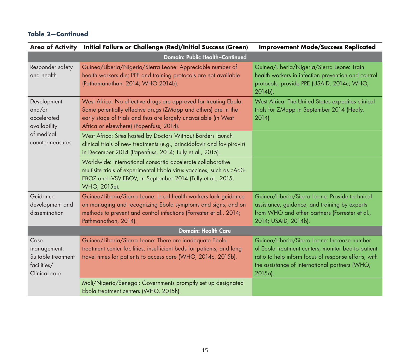|                                                                           | Area of Activity Initial Failure or Challenge (Red)/Initial Success (Green)                                                                                                                                                                      | <b>Improvement Made/Success Replicated</b>                                                                                                                                                                              |
|---------------------------------------------------------------------------|--------------------------------------------------------------------------------------------------------------------------------------------------------------------------------------------------------------------------------------------------|-------------------------------------------------------------------------------------------------------------------------------------------------------------------------------------------------------------------------|
|                                                                           | <b>Domain: Public Health-Continued</b>                                                                                                                                                                                                           |                                                                                                                                                                                                                         |
| Responder safety<br>and health                                            | Guinea/Liberia/Nigeria/Sierra Leone: Appreciable number of<br>health workers die; PPE and training protocols are not available<br>(Pathamanathan, 2014; WHO 2014b).                                                                              | Guinea/Liberia/Nigeria/Sierra Leone: Train<br>health workers in infection prevention and control<br>protocols; provide PPE (USAID, 2014c; WHO,<br>2014b).                                                               |
| Development<br>and/or<br>accelerated<br>availability                      | West Africa: No effective drugs are approved for treating Ebola.<br>Some potentially effective drugs (ZMapp and others) are in the<br>early stage of trials and thus are largely unavailable (in West<br>Africa or elsewhere) (Papenfuss, 2014). | West Africa: The United States expedites clinical<br>trials for ZMapp in September 2014 (Healy,<br>$2014$ ).                                                                                                            |
| of medical<br>countermeasures                                             | West Africa: Sites hosted by Doctors Without Borders launch<br>clinical trials of new treatments (e.g., brincidofovir and favipiravir)<br>in December 2014 (Papenfuss, 2014; Tully et al., 2015).                                                |                                                                                                                                                                                                                         |
|                                                                           | Worldwide: International consortia accelerate collaborative<br>multisite trials of experimental Ebola virus vaccines, such as cAd3-<br>EBOZ and rVSV-EBOV, in September 2014 (Tully et al., 2015;<br>WHO, 2015e).                                |                                                                                                                                                                                                                         |
| Guidance<br>development and<br>dissemination                              | Guinea/Liberia/Sierra Leone: Local health workers lack guidance<br>on managing and recognizing Ebola symptoms and signs, and on<br>methods to prevent and control infections (Forrester et al., 2014;<br>Pathmanathan, 2014).                    | Guinea/Liberia/Sierra Leone: Provide technical<br>assistance, guidance, and training by experts<br>from WHO and other partners (Forrester et al.,<br>2014; USAID, 2014b).                                               |
|                                                                           | <b>Domain: Health Care</b>                                                                                                                                                                                                                       |                                                                                                                                                                                                                         |
| Case<br>management:<br>Suitable treatment<br>facilities/<br>Clinical care | Guinea/Liberia/Sierra Leone: There are inadequate Ebola<br>treatment center facilities, insufficient beds for patients, and long<br>travel times for patients to access care (WHO, 2014c, 2015b).                                                | Guinea/Liberia/Sierra Leone: Increase number<br>of Ebola treatment centers; monitor bed-to-patient<br>ratio to help inform focus of response efforts, with<br>the assistance of international partners (WHO,<br>2015a). |
|                                                                           | Mali/Nigeria/Senegal: Governments promptly set up designated<br>Ebola treatment centers (WHO, 2015h).                                                                                                                                            |                                                                                                                                                                                                                         |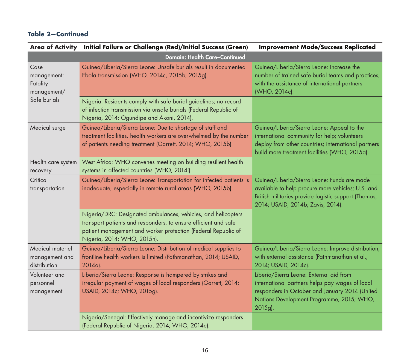|                                                    | Area of Activity Initial Failure or Challenge (Red)/Initial Success (Green)                                                                                                                                                      | <b>Improvement Made/Success Replicated</b>                                                                                                                                                           |
|----------------------------------------------------|----------------------------------------------------------------------------------------------------------------------------------------------------------------------------------------------------------------------------------|------------------------------------------------------------------------------------------------------------------------------------------------------------------------------------------------------|
|                                                    | <b>Domain: Health Care-Continued</b>                                                                                                                                                                                             |                                                                                                                                                                                                      |
| Case<br>management:<br>Fatality<br>management/     | Guinea/Liberia/Sierra Leone: Unsafe burials result in documented<br>Ebola transmission (WHO, 2014c, 2015b, 2015g).                                                                                                               | Guinea/Liberia/Sierra Leone: Increase the<br>number of trained safe burial teams and practices,<br>with the assistance of international partners<br>(WHO, 2014c).                                    |
| Safe burials                                       | Nigeria: Residents comply with safe burial guidelines; no record<br>of infection transmission via unsafe burials (Federal Republic of<br>Nigeria, 2014; Ogundipe and Akoni, 2014).                                               |                                                                                                                                                                                                      |
| Medical surge                                      | Guinea/Liberia/Sierra Leone: Due to shortage of staff and<br>treatment facilities, health workers are overwhelmed by the number<br>of patients needing treatment (Garrett, 2014; WHO, 2015b).                                    | Guinea/Liberia/Sierra Leone: Appeal to the<br>international community for help; volunteers<br>deploy from other countries; international partners<br>build more treatment facilities (WHO, 2015a).   |
| Health care system<br>recovery                     | West Africa: WHO convenes meeting on building resilient health<br>systems in affected countries (WHO, 2014i).                                                                                                                    |                                                                                                                                                                                                      |
| Critical<br>transportation                         | Guinea/Liberia/Sierra Leone: Transportation for infected patients is<br>inadequate, especially in remote rural areas (WHO, 2015b).                                                                                               | Guinea/Liberia/Sierra Leone: Funds are made<br>available to help procure more vehicles; U.S. and<br>British militaries provide logistic support (Thomas,<br>2014; USAID, 2014b; Zavis, 2014).        |
|                                                    | Nigeria/DRC: Designated ambulances, vehicles, and helicopters<br>transport patients and responders, to ensure efficient and safe<br>patient management and worker protection (Federal Republic of<br>Nigeria, 2014; WHO, 2015h). |                                                                                                                                                                                                      |
| Medical materiel<br>management and<br>distribution | Guinea/Liberia/Sierra Leone: Distribution of medical supplies to<br>frontline health workers is limited (Pathmanathan, 2014; USAID,<br>2014a).                                                                                   | Guinea/Liberia/Sierra Leone: Improve distribution,<br>with external assistance (Pathmanathan et al.,<br>2014; USAID, 2014c).                                                                         |
| Volunteer and<br>personnel<br>management           | Liberia/Sierra Leone: Response is hampered by strikes and<br>irregular payment of wages of local responders (Garrett, 2014;<br>USAID, 2014c; WHO, 2015g).                                                                        | Liberia/Sierra Leone: External aid from<br>international partners helps pay wages of local<br>responders in October and January 2014 (United<br>Nations Development Programme, 2015; WHO,<br>2015g). |
|                                                    | Nigeria/Senegal: Effectively manage and incentivize responders<br>(Federal Republic of Nigeria, 2014; WHO, 2014e).                                                                                                               |                                                                                                                                                                                                      |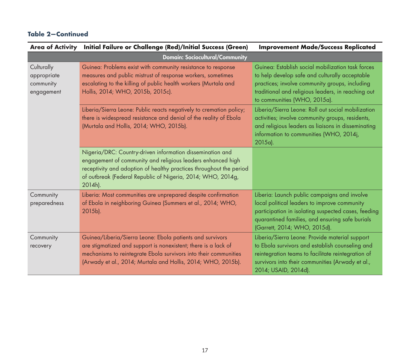|                                                      | Area of Activity Initial Failure or Challenge (Red)/Initial Success (Green)                                                                                                                                                                                               | <b>Improvement Made/Success Replicated</b>                                                                                                                                                                                                  |
|------------------------------------------------------|---------------------------------------------------------------------------------------------------------------------------------------------------------------------------------------------------------------------------------------------------------------------------|---------------------------------------------------------------------------------------------------------------------------------------------------------------------------------------------------------------------------------------------|
|                                                      | <b>Domain: Sociocultural/Community</b>                                                                                                                                                                                                                                    |                                                                                                                                                                                                                                             |
| Culturally<br>appropriate<br>community<br>engagement | Guinea: Problems exist with community resistance to response<br>measures and public mistrust of response workers, sometimes<br>escalating to the killing of public health workers (Murtala and<br>Hollis, 2014; WHO, 2015b, 2015c).                                       | Guinea: Establish social mobilization task forces<br>to help develop safe and culturally acceptable<br>practices; involve community groups, including<br>traditional and religious leaders, in reaching out<br>to communities (WHO, 2015a). |
|                                                      | Liberia/Sierra Leone: Public reacts negatively to cremation policy;<br>there is widespread resistance and denial of the reality of Ebola<br>(Murtala and Hollis, 2014; WHO, 2015b).                                                                                       | Liberia/Sierra Leone: Roll out social mobilization<br>activities; involve community groups, residents,<br>and religious leaders as liaisons in disseminating<br>information to communities (WHO, 2014j,<br>2015a).                          |
|                                                      | Nigeria/DRC: Country-driven information dissemination and<br>engagement of community and religious leaders enhanced high<br>receptivity and adoption of healthy practices throughout the period<br>of outbreak (Federal Republic of Nigeria, 2014; WHO, 2014g,<br>2014h). |                                                                                                                                                                                                                                             |
| Community<br>preparedness                            | Liberia: Most communities are unprepared despite confirmation<br>of Ebola in neighboring Guinea (Summers et al., 2014; WHO,<br>2015b).                                                                                                                                    | Liberia: Launch public campaigns and involve<br>local political leaders to improve community<br>participation in isolating suspected cases, feeding<br>quarantined families, and ensuring safe burials<br>(Garrett, 2014; WHO, 2015d).      |
| Community<br>recovery                                | Guinea/Liberia/Sierra Leone: Ebola patients and survivors<br>are stigmatized and support is nonexistent; there is a lack of<br>mechanisms to reintegrate Ebola survivors into their communities<br>(Arwady et al., 2014; Murtala and Hollis, 2014; WHO, 2015b).           | Liberia/Sierra Leone: Provide material support<br>to Ebola survivors and establish counseling and<br>reintegration teams to facilitate reintegration of<br>survivors into their communities (Arwady et al.,<br>2014; USAID, 2014d).         |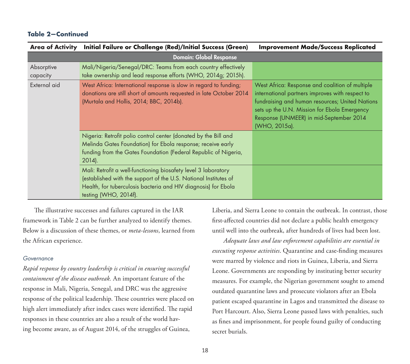| <b>Area of Activity</b> | Initial Failure or Challenge (Red)/Initial Success (Green)                                                                                                                                                                    | <b>Improvement Made/Success Replicated</b>                                                                                                                                                                                                                        |
|-------------------------|-------------------------------------------------------------------------------------------------------------------------------------------------------------------------------------------------------------------------------|-------------------------------------------------------------------------------------------------------------------------------------------------------------------------------------------------------------------------------------------------------------------|
|                         | <b>Domain: Global Response</b>                                                                                                                                                                                                |                                                                                                                                                                                                                                                                   |
| Absorptive<br>capacity  | Mali/Nigeria/Senegal/DRC: Teams from each country effectively<br>take ownership and lead response efforts (WHO, 2014g; 2015h).                                                                                                |                                                                                                                                                                                                                                                                   |
| External aid            | West Africa: International response is slow in regard to funding;<br>donations are still short of amounts requested in late October 2014<br>(Murtala and Hollis, 2014; BBC, 2014b).                                           | West Africa: Response and coalition of multiple<br>international partners improves with respect to<br>fundraising and human resources; United Nations<br>sets up the U.N. Mission for Ebola Emergency<br>Response (UNMEER) in mid-September 2014<br>(WHO, 2015a). |
|                         | Nigeria: Retrofit polio control center (donated by the Bill and<br>Melinda Gates Foundation) for Ebola response; receive early<br>funding from the Gates Foundation (Federal Republic of Nigeria,<br>$2014$ ).                |                                                                                                                                                                                                                                                                   |
|                         | Mali: Retrofit a well-functioning biosafety level 3 laboratory<br>(established with the support of the U.S. National Institutes of<br>Health, for tuberculosis bacteria and HIV diagnosis) for Ebola<br>testing (WHO, 2014f). |                                                                                                                                                                                                                                                                   |

The illustrative successes and failures captured in the IAR framework in Table 2 can be further analyzed to identify themes. Below is a discussion of these themes, or *meta-lessons*, learned from the African experience.

#### *Governance*

*Rapid response by country leadership is critical in ensuring successful containment of the disease outbreak.* An important feature of the response in Mali, Nigeria, Senegal, and DRC was the aggressive response of the political leadership. These countries were placed on high alert immediately after index cases were identified. The rapid responses in these countries are also a result of the world having become aware, as of August 2014, of the struggles of Guinea,

Liberia, and Sierra Leone to contain the outbreak. In contrast, those first-affected countries did not declare a public health emergency until well into the outbreak, after hundreds of lives had been lost.

*Adequate laws and law enforcement capabilities are essential in executing response activities*. Quarantine and case-finding measures were marred by violence and riots in Guinea, Liberia, and Sierra Leone. Governments are responding by instituting better security measures. For example, the Nigerian government sought to amend outdated quarantine laws and prosecute violators after an Ebola patient escaped quarantine in Lagos and transmitted the disease to Port Harcourt. Also, Sierra Leone passed laws with penalties, such as fines and imprisonment, for people found guilty of conducting secret burials.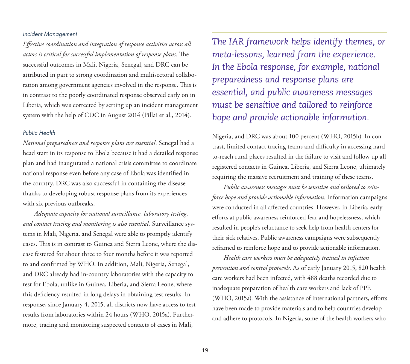#### *Incident Management*

*Effective coordination and integration of response activities across all actors is critical for successful implementation of response plans.* The successful outcomes in Mali, Nigeria, Senegal, and DRC can be attributed in part to strong coordination and multisectoral collaboration among government agencies involved in the response. This is in contrast to the poorly coordinated response observed early on in Liberia, which was corrected by setting up an incident management system with the help of CDC in August 2014 (Pillai et al., 2014).

#### *Public Health*

*National preparedness and response plans are essential.* Senegal had a head start in its response to Ebola because it had a detailed response plan and had inaugurated a national crisis committee to coordinate national response even before any case of Ebola was identified in the country. DRC was also successful in containing the disease thanks to developing robust response plans from its experiences with six previous outbreaks.

*Adequate capacity for national surveillance, laboratory testing, and contact tracing and monitoring is also essential.* Surveillance systems in Mali, Nigeria, and Senegal were able to promptly identify cases. This is in contrast to Guinea and Sierra Leone, where the disease festered for about three to four months before it was reported to and confirmed by WHO. In addition, Mali, Nigeria, Senegal, and DRC already had in-country laboratories with the capacity to test for Ebola, unlike in Guinea, Liberia, and Sierra Leone, where this deficiency resulted in long delays in obtaining test results. In response, since January 4, 2015, all districts now have access to test results from laboratories within 24 hours (WHO, 2015a). Furthermore, tracing and monitoring suspected contacts of cases in Mali,

*The IAR framework helps identify themes, or meta-lessons, learned from the experience. In the Ebola response, for example, national preparedness and response plans are essential, and public awareness messages must be sensitive and tailored to reinforce hope and provide actionable information.*

Nigeria, and DRC was about 100 percent (WHO, 2015h). In contrast, limited contact tracing teams and difficulty in accessing hardto-reach rural places resulted in the failure to visit and follow up all registered contacts in Guinea, Liberia, and Sierra Leone, ultimately requiring the massive recruitment and training of these teams.

*Public awareness messages must be sensitive and tailored to reinforce hope and provide actionable information.* Information campaigns were conducted in all affected countries. However, in Liberia, early efforts at public awareness reinforced fear and hopelessness, which resulted in people's reluctance to seek help from health centers for their sick relatives. Public awareness campaigns were subsequently reframed to reinforce hope and to provide actionable information.

*Health care workers must be adequately trained in infection prevention and control protocols.* As of early January 2015, 820 health care workers had been infected, with 488 deaths recorded due to inadequate preparation of health care workers and lack of PPE (WHO, 2015a). With the assistance of international partners, efforts have been made to provide materials and to help countries develop and adhere to protocols. In Nigeria, some of the health workers who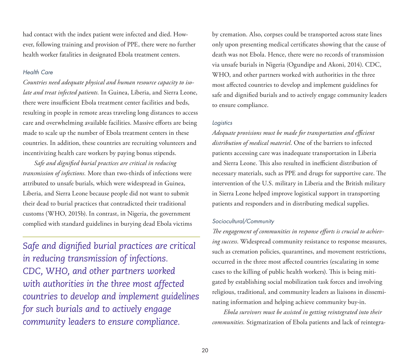had contact with the index patient were infected and died. However, following training and provision of PPE, there were no further health worker fatalities in designated Ebola treatment centers.

#### *Health Care*

*Countries need adequate physical and human resource capacity to isolate and treat infected patients.* In Guinea, Liberia, and Sierra Leone, there were insufficient Ebola treatment center facilities and beds, resulting in people in remote areas traveling long distances to access care and overwhelming available facilities. Massive efforts are being made to scale up the number of Ebola treatment centers in these countries. In addition, these countries are recruiting volunteers and incentivizing health care workers by paying bonus stipends.

*Safe and dignified burial practices are critical in reducing transmission of infections.* More than two-thirds of infections were attributed to unsafe burials, which were widespread in Guinea, Liberia, and Sierra Leone because people did not want to submit their dead to burial practices that contradicted their traditional customs (WHO, 2015b). In contrast, in Nigeria, the government complied with standard guidelines in burying dead Ebola victims

*Safe and dignified burial practices are critical in reducing transmission of infections. CDC, WHO, and other partners worked with authorities in the three most affected countries to develop and implement guidelines for such burials and to actively engage community leaders to ensure compliance.*

by cremation. Also, corpses could be transported across state lines only upon presenting medical certificates showing that the cause of death was not Ebola. Hence, there were no records of transmission via unsafe burials in Nigeria (Ogundipe and Akoni, 2014). CDC, WHO, and other partners worked with authorities in the three most affected countries to develop and implement guidelines for safe and dignified burials and to actively engage community leaders to ensure compliance.

#### *Logistics*

*Adequate provisions must be made for transportation and efficient distribution of medical materiel*. One of the barriers to infected patients accessing care was inadequate transportation in Liberia and Sierra Leone. This also resulted in inefficient distribution of necessary materials, such as PPE and drugs for supportive care. The intervention of the U.S. military in Liberia and the British military in Sierra Leone helped improve logistical support in transporting patients and responders and in distributing medical supplies.

#### *Sociocultural/Community*

*The engagement of communities in response efforts is crucial to achieving success*. Widespread community resistance to response measures, such as cremation policies, quarantines, and movement restrictions, occurred in the three most affected countries (escalating in some cases to the killing of public health workers). This is being mitigated by establishing social mobilization task forces and involving religious, traditional, and community leaders as liaisons in disseminating information and helping achieve community buy-in.

*Ebola survivors must be assisted in getting reintegrated into their communities.* Stigmatization of Ebola patients and lack of reintegra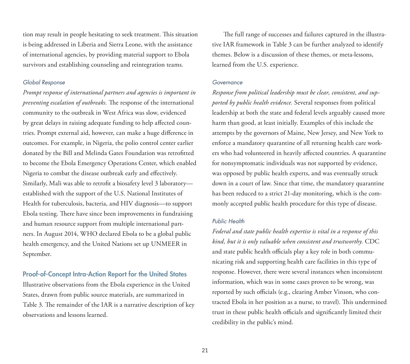tion may result in people hesitating to seek treatment. This situation is being addressed in Liberia and Sierra Leone, with the assistance of international agencies, by providing material support to Ebola survivors and establishing counseling and reintegration teams.

#### *Global Response*

*Prompt response of international partners and agencies is important in preventing escalation of outbreaks.* The response of the international community to the outbreak in West Africa was slow, evidenced by great delays in raising adequate funding to help affected countries. Prompt external aid, however, can make a huge difference in outcomes. For example, in Nigeria, the polio control center earlier donated by the Bill and Melinda Gates Foundation was retrofitted to become the Ebola Emergency Operations Center, which enabled Nigeria to combat the disease outbreak early and effectively. Similarly, Mali was able to retrofit a biosafety level 3 laboratory established with the support of the U.S. National Institutes of Health for tuberculosis, bacteria, and HIV diagnosis—to support Ebola testing. There have since been improvements in fundraising and human resource support from multiple international partners. In August 2014, WHO declared Ebola to be a global public health emergency, and the United Nations set up UNMEER in September.

#### Proof-of-Concept Intra-Action Report for the United States

Illustrative observations from the Ebola experience in the United States, drawn from public source materials, are summarized in Table 3. The remainder of the IAR is a narrative description of key observations and lessons learned.

The full range of successes and failures captured in the illustrative IAR framework in Table 3 can be further analyzed to identify themes. Below is a discussion of these themes, or meta-lessons, learned from the U.S. experience.

#### *Governance*

*Response from political leadership must be clear, consistent, and supported by public health evidence.* Several responses from political leadership at both the state and federal levels arguably caused more harm than good, at least initially. Examples of this include the attempts by the governors of Maine, New Jersey, and New York to enforce a mandatory quarantine of all returning health care workers who had volunteered in heavily affected countries. A quarantine for nonsymptomatic individuals was not supported by evidence, was opposed by public health experts, and was eventually struck down in a court of law. Since that time, the mandatory quarantine has been reduced to a strict 21-day monitoring, which is the commonly accepted public health procedure for this type of disease.

#### *Public Health*

*Federal and state public health expertise is vital in a response of this kind, but it is only valuable when consistent and trustworthy.* CDC and state public health officials play a key role in both communicating risk and supporting health care facilities in this type of response. However, there were several instances when inconsistent information, which was in some cases proven to be wrong, was reported by such officials (e.g., clearing Amber Vinson, who contracted Ebola in her position as a nurse, to travel). This undermined trust in these public health officials and significantly limited their credibility in the public's mind.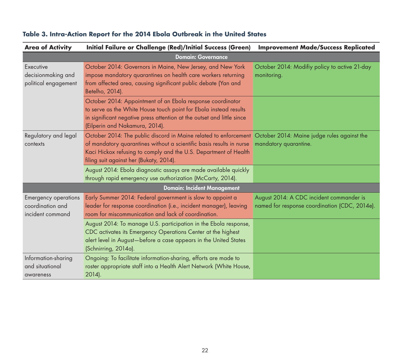| <b>Area of Activity</b>                                             | <b>Initial Failure or Challenge (Red)/Initial Success (Green)</b>                                                                                                                                                                                                                                   | <b>Improvement Made/Success Replicated</b>                                                |
|---------------------------------------------------------------------|-----------------------------------------------------------------------------------------------------------------------------------------------------------------------------------------------------------------------------------------------------------------------------------------------------|-------------------------------------------------------------------------------------------|
|                                                                     | <b>Domain: Governance</b>                                                                                                                                                                                                                                                                           |                                                                                           |
| Executive<br>decisionmaking and<br>political engagement             | October 2014: Governors in Maine, New Jersey, and New York<br>impose mandatory quarantines on health care workers returning<br>from affected area, causing significant public debate (Yan and<br>Betelho, 2014).                                                                                    | October 2014: Modifiy policy to active 21-day<br>monitoring.                              |
|                                                                     | October 2014: Appointment of an Ebola response coordinator<br>to serve as the White House touch point for Ebola instead results<br>in significant negative press attention at the outset and little since<br>(Eilperin and Nakamura, 2014).                                                         |                                                                                           |
| Regulatory and legal<br>contexts                                    | October 2014: The public discord in Maine related to enforcement October 2014: Maine judge rules against the<br>of mandatory quarantines without a scientific basis results in nurse<br>Kaci Hickox refusing to comply and the U.S. Department of Health<br>filing suit against her (Bukaty, 2014). | mandatory quarantine.                                                                     |
|                                                                     | August 2014: Ebola diagnostic assays are made available quickly<br>through rapid emergency use authorization (McCarty, 2014).                                                                                                                                                                       |                                                                                           |
|                                                                     | <b>Domain: Incident Management</b>                                                                                                                                                                                                                                                                  |                                                                                           |
| <b>Emergency operations</b><br>coordination and<br>incident command | Early Summer 2014: Federal government is slow to appoint a<br>leader for response coordination (i.e., incident manager), leaving<br>room for miscommunication and lack of coordination.                                                                                                             | August 2014: A CDC incident commander is<br>named for response coordination (CDC, 2014e). |
|                                                                     | August 2014: To manage U.S. participation in the Ebola response,<br>CDC activates its Emergency Operations Center at the highest<br>alert level in August-before a case appears in the United States<br>(Schnirring, 2014a).                                                                        |                                                                                           |
| Information-sharing<br>and situational<br>awareness                 | Ongoing: To facilitate information-sharing, efforts are made to<br>roster appropriate staff into a Health Alert Network (White House,<br>2014).                                                                                                                                                     |                                                                                           |

# **Table 3. Intra-Action Report for the 2014 Ebola Outbreak in the United States**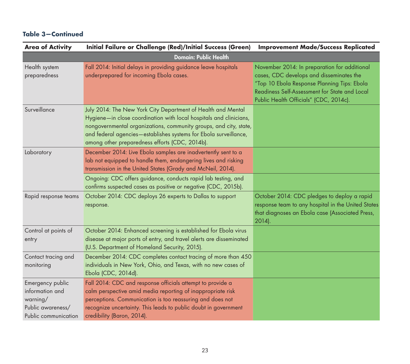| <b>Area of Activity</b>                                                                      | <b>Initial Failure or Challenge (Red)/Initial Success (Green)</b>                                                                                                                                                                                                                                                             | <b>Improvement Made/Success Replicated</b>                                                                                                                                                                                         |
|----------------------------------------------------------------------------------------------|-------------------------------------------------------------------------------------------------------------------------------------------------------------------------------------------------------------------------------------------------------------------------------------------------------------------------------|------------------------------------------------------------------------------------------------------------------------------------------------------------------------------------------------------------------------------------|
|                                                                                              | <b>Domain: Public Health</b>                                                                                                                                                                                                                                                                                                  |                                                                                                                                                                                                                                    |
| Health system<br>preparedness                                                                | Fall 2014: Initial delays in providing guidance leave hospitals<br>underprepared for incoming Ebola cases.                                                                                                                                                                                                                    | November 2014: In preparation for additional<br>cases, CDC develops and disseminates the<br>"Top 10 Ebola Response Planning Tips: Ebola<br>Readiness Self-Assessment for State and Local<br>Public Health Officials" (CDC, 2014c). |
| Surveillance                                                                                 | July 2014: The New York City Department of Health and Mental<br>Hygiene-in close coordination with local hospitals and clinicians,<br>nongovernmental organizations, community groups, and city, state,<br>and federal agencies-establishes systems for Ebola surveillance,<br>among other preparedness efforts (CDC, 2014b). |                                                                                                                                                                                                                                    |
| Laboratory                                                                                   | December 2014: Live Ebola samples are inadvertently sent to a<br>lab not equipped to handle them, endangering lives and risking<br>transmission in the United States (Grady and McNeil, 2014).                                                                                                                                |                                                                                                                                                                                                                                    |
|                                                                                              | Ongoing: CDC offers guidance, conducts rapid lab testing, and<br>confirms suspected cases as positive or negative (CDC, 2015b).                                                                                                                                                                                               |                                                                                                                                                                                                                                    |
| Rapid response teams                                                                         | October 2014: CDC deploys 26 experts to Dallas to support<br>response.                                                                                                                                                                                                                                                        | October 2014: CDC pledges to deploy a rapid<br>response team to any hospital in the United States<br>that diagnoses an Ebola case (Associated Press,<br>$2014$ ).                                                                  |
| Control at points of<br>entry                                                                | October 2014: Enhanced screening is established for Ebola virus<br>disease at major ports of entry, and travel alerts are disseminated<br>(U.S. Department of Homeland Security, 2015).                                                                                                                                       |                                                                                                                                                                                                                                    |
| Contact tracing and<br>monitoring                                                            | December 2014: CDC completes contact tracing of more than 450<br>individuals in New York, Ohio, and Texas, with no new cases of<br>Ebola (CDC, 2014d).                                                                                                                                                                        |                                                                                                                                                                                                                                    |
| Emergency public<br>information and<br>warning/<br>Public awareness/<br>Public communication | Fall 2014: CDC and response officials attempt to provide a<br>calm perspective amid media reporting of inappropriate risk<br>perceptions. Communication is too reassuring and does not<br>recognize uncertainty. This leads to public doubt in government<br>credibility (Baron, 2014).                                       |                                                                                                                                                                                                                                    |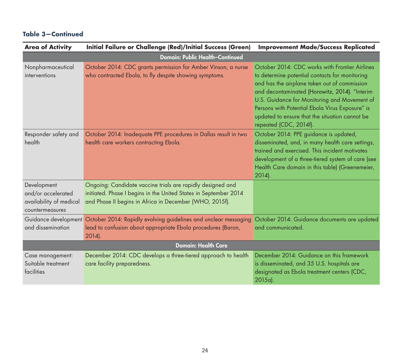| <b>Area of Activity</b>                                                         | <b>Initial Failure or Challenge (Red)/Initial Success (Green)</b>                                                                                                                         | <b>Improvement Made/Success Replicated</b>                                                                                                                                                                                                                                                                                                                                       |
|---------------------------------------------------------------------------------|-------------------------------------------------------------------------------------------------------------------------------------------------------------------------------------------|----------------------------------------------------------------------------------------------------------------------------------------------------------------------------------------------------------------------------------------------------------------------------------------------------------------------------------------------------------------------------------|
|                                                                                 | <b>Domain: Public Health-Continued</b>                                                                                                                                                    |                                                                                                                                                                                                                                                                                                                                                                                  |
| Nonpharmaceutical<br>interventions                                              | October 2014: CDC grants permission for Amber Vinson, a nurse<br>who contracted Ebola, to fly despite showing symptoms.                                                                   | October 2014: CDC works with Frontier Airlines<br>to determine potential contacts for monitoring<br>and has the airplane taken out of commission<br>and decontaminated (Horowitz, 2014). "Interim<br>U.S. Guidance for Monitoring and Movement of<br>Persons with Potential Ebola Virus Exposure" is<br>updated to ensure that the situation cannot be<br>repeated (CDC, 2014f). |
| Responder safety and<br>health                                                  | October 2014: Inadequate PPE procedures in Dallas result in two<br>health care workers contracting Ebola.                                                                                 | October 2014: PPE guidance is updated,<br>disseminated, and, in many health care settings,<br>trained and exercised. This incident motivates<br>development of a three-tiered system of care (see<br>Health Care domain in this table) (Greenemeier,<br>$2014$ ).                                                                                                                |
| Development<br>and/or accelerated<br>availability of medical<br>countermeasures | Ongoing: Candidate vaccine trials are rapidly designed and<br>initiated. Phase I begins in the United States in September 2014<br>and Phase II begins in Africa in December (WHO, 2015f). |                                                                                                                                                                                                                                                                                                                                                                                  |
| and dissemination                                                               | Guidance development October 2014: Rapidly evolving guidelines and unclear messaging<br>lead to confusion about appropriate Ebola procedures (Baron,<br>2014).                            | October 2014: Guidance documents are updated<br>and communicated.                                                                                                                                                                                                                                                                                                                |
| <b>Domain: Health Care</b>                                                      |                                                                                                                                                                                           |                                                                                                                                                                                                                                                                                                                                                                                  |
| Case management:<br>Suitable treatment<br>facilities                            | December 2014: CDC develops a three-tiered approach to health<br>care facility preparedness.                                                                                              | December 2014: Guidance on this framework<br>is disseminated, and 35 U.S. hospitals are<br>designated as Ebola treatment centers (CDC,<br>$2015a$ .                                                                                                                                                                                                                              |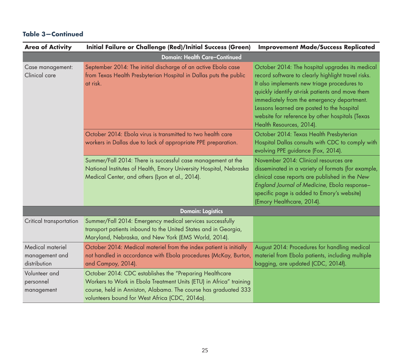| <b>Area of Activity</b>                            | Initial Failure or Challenge (Red)/Initial Success (Green)                                                                                                                                                                                         | <b>Improvement Made/Success Replicated</b>                                                                                                                                                                                                                                                                                                                                         |
|----------------------------------------------------|----------------------------------------------------------------------------------------------------------------------------------------------------------------------------------------------------------------------------------------------------|------------------------------------------------------------------------------------------------------------------------------------------------------------------------------------------------------------------------------------------------------------------------------------------------------------------------------------------------------------------------------------|
|                                                    | <b>Domain: Health Care-Continued</b>                                                                                                                                                                                                               |                                                                                                                                                                                                                                                                                                                                                                                    |
| Case management:<br>Clinical care                  | September 2014: The initial discharge of an active Ebola case<br>from Texas Health Presbyterian Hospital in Dallas puts the public<br>at risk.                                                                                                     | October 2014: The hospital upgrades its medical<br>record software to clearly highlight travel risks.<br>It also implements new triage procedures to<br>quickly identify at-risk patients and move them<br>immediately from the emergency department.<br>Lessons learned are posted to the hospital<br>website for reference by other hospitals (Texas<br>Health Resources, 2014). |
|                                                    | October 2014: Ebola virus is transmitted to two health care<br>workers in Dallas due to lack of appropriate PPE preparation.                                                                                                                       | October 2014: Texas Health Presbyterian<br>Hospital Dallas consults with CDC to comply with<br>evolving PPE guidance (Fox, 2014).                                                                                                                                                                                                                                                  |
|                                                    | Summer/Fall 2014: There is successful case management at the<br>National Institutes of Health, Emory University Hospital, Nebraska<br>Medical Center, and others (Lyon et al., 2014).                                                              | November 2014: Clinical resources are<br>disseminated in a variety of formats (for example,<br>clinical case reports are published in the New<br>England Journal of Medicine, Ebola response-<br>specific page is added to Emory's website)<br>(Emory Healthcare, 2014).                                                                                                           |
|                                                    | <b>Domain: Logistics</b>                                                                                                                                                                                                                           |                                                                                                                                                                                                                                                                                                                                                                                    |
| Critical transportation                            | Summer/Fall 2014: Emergency medical services successfully<br>transport patients inbound to the United States and in Georgia,<br>Maryland, Nebraska, and New York (EMS World, 2014).                                                                |                                                                                                                                                                                                                                                                                                                                                                                    |
| Medical materiel<br>management and<br>distribution | October 2014: Medical materiel from the index patient is initially<br>not handled in accordance with Ebola procedures (McKay, Burton,<br>and Campoy, 2014).                                                                                        | August 2014: Procedures for handling medical<br>materiel from Ebola patients, including multiple<br>bagging, are updated (CDC, 2014f).                                                                                                                                                                                                                                             |
| Volunteer and<br>personnel<br>management           | October 2014: CDC establishes the "Preparing Healthcare<br>Workers to Work in Ebola Treatment Units (ETU) in Africa" training<br>course, held in Anniston, Alabama. The course has graduated 333<br>volunteers bound for West Africa (CDC, 2014a). |                                                                                                                                                                                                                                                                                                                                                                                    |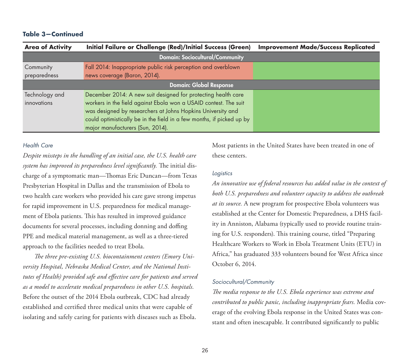| <b>Area of Activity</b>        | <b>Initial Failure or Challenge (Red)/Initial Success (Green)</b>     | <b>Improvement Made/Success Replicated</b> |
|--------------------------------|-----------------------------------------------------------------------|--------------------------------------------|
|                                | <b>Domain: Sociocultural/Community</b>                                |                                            |
| Community                      | Fall 2014: Inappropriate public risk perception and overblown         |                                            |
| preparedness                   | news coverage (Baron, 2014).                                          |                                            |
| <b>Domain: Global Response</b> |                                                                       |                                            |
| Technology and                 | December 2014: A new suit designed for protecting health care         |                                            |
| innovations                    | workers in the field against Ebola won a USAID contest. The suit      |                                            |
|                                | was designed by researchers at Johns Hopkins University and           |                                            |
|                                | could optimistically be in the field in a few months, if picked up by |                                            |
|                                | major manufacturers (Sun, 2014).                                      |                                            |

#### *Health Care*

*Despite missteps in the handling of an initial case, the U.S. health care system has improved its preparedness level significantly.* The initial discharge of a symptomatic man—Thomas Eric Duncan—from Texas Presbyterian Hospital in Dallas and the transmission of Ebola to two health care workers who provided his care gave strong impetus for rapid improvement in U.S. preparedness for medical management of Ebola patients. This has resulted in improved guidance documents for several processes, including donning and doffing PPE and medical material management, as well as a three-tiered approach to the facilities needed to treat Ebola.

*The three pre-existing U.S. biocontainment centers (Emory University Hospital, Nebraska Medical Center, and the National Institutes of Health) provided safe and effective care for patients and served as a model to accelerate medical preparedness in other U.S. hospitals.*  Before the outset of the 2014 Ebola outbreak, CDC had already established and certified three medical units that were capable of isolating and safely caring for patients with diseases such as Ebola.

Most patients in the United States have been treated in one of these centers.

#### *Logistics*

*An innovative use of federal resources has added value in the context of both U.S. preparedness and volunteer capacity to address the outbreak at its source.* A new program for prospective Ebola volunteers was established at the Center for Domestic Preparedness, a DHS facility in Anniston, Alabama (typically used to provide routine training for U.S. responders). This training course, titled "Preparing Healthcare Workers to Work in Ebola Treatment Units (ETU) in Africa," has graduated 333 volunteers bound for West Africa since October 6, 2014.

#### *Sociocultural/Community*

*The media response to the U.S. Ebola experience was extreme and contributed to public panic, including inappropriate fears.* Media coverage of the evolving Ebola response in the United States was constant and often inescapable. It contributed significantly to public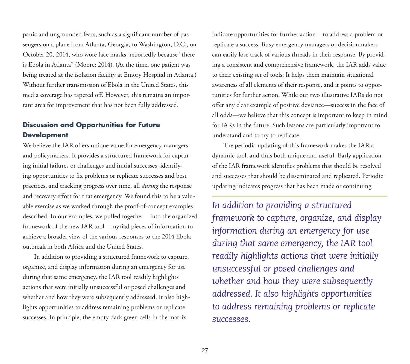panic and ungrounded fears, such as a significant number of passengers on a plane from Atlanta, Georgia, to Washington, D.C., on October 20, 2014, who wore face masks, reportedly because "there is Ebola in Atlanta" (Moore; 2014). (At the time, one patient was being treated at the isolation facility at Emory Hospital in Atlanta.) Without further transmission of Ebola in the United States, this media coverage has tapered off. However, this remains an important area for improvement that has not been fully addressed.

# **Discussion and Opportunities for Future Development**

We believe the IAR offers unique value for emergency managers and policymakers. It provides a structured framework for capturing initial failures or challenges and initial successes, identifying opportunities to fix problems or replicate successes and best practices, and tracking progress over time, all *during* the response and recovery effort for that emergency. We found this to be a valuable exercise as we worked through the proof-of-concept examples described. In our examples, we pulled together—into the organized framework of the new IAR tool—myriad pieces of information to achieve a broader view of the various responses to the 2014 Ebola outbreak in both Africa and the United States.

In addition to providing a structured framework to capture, organize, and display information during an emergency for use during that same emergency, the IAR tool readily highlights actions that were initially unsuccessful or posed challenges and whether and how they were subsequently addressed. It also highlights opportunities to address remaining problems or replicate successes. In principle, the empty dark green cells in the matrix

indicate opportunities for further action—to address a problem or replicate a success. Busy emergency managers or decisionmakers can easily lose track of various threads in their response. By providing a consistent and comprehensive framework, the IAR adds value to their existing set of tools: It helps them maintain situational awareness of all elements of their response, and it points to opportunities for further action. While our two illustrative IARs do not offer any clear example of positive deviance—success in the face of all odds—we believe that this concept is important to keep in mind for IARs in the future. Such lessons are particularly important to understand and to try to replicate.

The periodic updating of this framework makes the IAR a dynamic tool, and thus both unique and useful. Early application of the IAR framework identifies problems that should be resolved and successes that should be disseminated and replicated. Periodic updating indicates progress that has been made or continuing

*In addition to providing a structured framework to capture, organize, and display information during an emergency for use during that same emergency, the IAR tool readily highlights actions that were initially unsuccessful or posed challenges and whether and how they were subsequently addressed. It also highlights opportunities to address remaining problems or replicate successes.*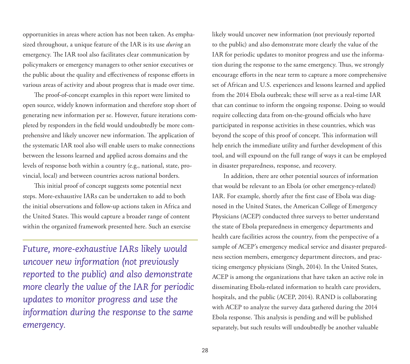opportunities in areas where action has not been taken. As emphasized throughout, a unique feature of the IAR is its use *during* an emergency. The IAR tool also facilitates clear communication by policymakers or emergency managers to other senior executives or the public about the quality and effectiveness of response efforts in various areas of activity and about progress that is made over time.

The proof-of-concept examples in this report were limited to open source, widely known information and therefore stop short of generating new information per se. However, future iterations completed by responders in the field would undoubtedly be more comprehensive and likely uncover new information. The application of the systematic IAR tool also will enable users to make connections between the lessons learned and applied across domains and the levels of response both within a country (e.g., national, state, provincial, local) and between countries across national borders.

This initial proof of concept suggests some potential next steps. More-exhaustive IARs can be undertaken to add to both the initial observations and follow-up actions taken in Africa and the United States. This would capture a broader range of content within the organized framework presented here. Such an exercise

*Future, more-exhaustive IARs likely would uncover new information (not previously reported to the public) and also demonstrate more clearly the value of the IAR for periodic updates to monitor progress and use the information during the response to the same emergency.*

likely would uncover new information (not previously reported to the public) and also demonstrate more clearly the value of the IAR for periodic updates to monitor progress and use the information during the response to the same emergency. Thus, we strongly encourage efforts in the near term to capture a more comprehensive set of African and U.S. experiences and lessons learned and applied from the 2014 Ebola outbreak; these will serve as a real-time IAR that can continue to inform the ongoing response. Doing so would require collecting data from on-the-ground officials who have participated in response activities in these countries, which was beyond the scope of this proof of concept. This information will help enrich the immediate utility and further development of this tool, and will expound on the full range of ways it can be employed in disaster preparedness, response, and recovery.

In addition, there are other potential sources of information that would be relevant to an Ebola (or other emergency-related) IAR. For example, shortly after the first case of Ebola was diagnosed in the United States, the American College of Emergency Physicians (ACEP) conducted three surveys to better understand the state of Ebola preparedness in emergency departments and health care facilities across the country, from the perspective of a sample of ACEP's emergency medical service and disaster preparedness section members, emergency department directors, and practicing emergency physicians (Singh, 2014). In the United States, ACEP is among the organizations that have taken an active role in disseminating Ebola-related information to health care providers, hospitals, and the public (ACEP, 2014). RAND is collaborating with ACEP to analyze the survey data gathered during the 2014 Ebola response. This analysis is pending and will be published separately, but such results will undoubtedly be another valuable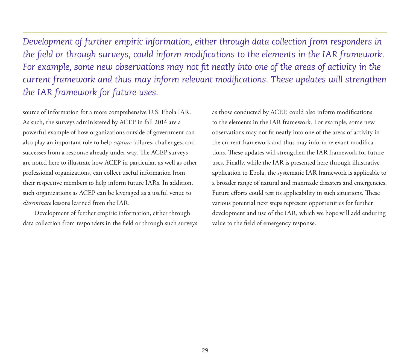*Development of further empiric information, either through data collection from responders in the field or through surveys, could inform modifications to the elements in the IAR framework. For example, some new observations may not fit neatly into one of the areas of activity in the current framework and thus may inform relevant modifications. These updates will strengthen the IAR framework for future uses.* 

source of information for a more comprehensive U.S. Ebola IAR. As such, the surveys administered by ACEP in fall 2014 are a powerful example of how organizations outside of government can also play an important role to help *capture* failures, challenges, and successes from a response already under way. The ACEP surveys are noted here to illustrate how ACEP in particular, as well as other professional organizations, can collect useful information from their respective members to help inform future IARs. In addition, such organizations as ACEP can be leveraged as a useful venue to *disseminate* lessons learned from the IAR.

Development of further empiric information, either through data collection from responders in the field or through such surveys as those conducted by ACEP, could also inform modifications to the elements in the IAR framework. For example, some new observations may not fit neatly into one of the areas of activity in the current framework and thus may inform relevant modifications. These updates will strengthen the IAR framework for future uses. Finally, while the IAR is presented here through illustrative application to Ebola, the systematic IAR framework is applicable to a broader range of natural and manmade disasters and emergencies. Future efforts could test its applicability in such situations. These various potential next steps represent opportunities for further development and use of the IAR, which we hope will add enduring value to the field of emergency response.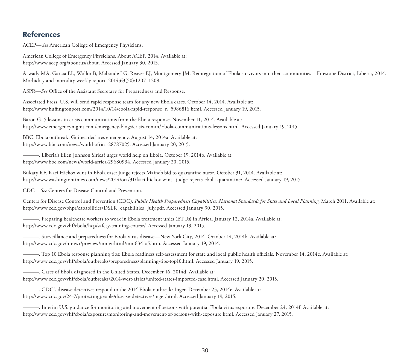# **References**

ACEP—*See* American College of Emergency Physicians.

American College of Emergency Physicians. About ACEP. 2014. Available at: [http://www.acep.org/aboutus/about.](http://www.acep.org/aboutus/about) Accessed January 30, 2015.

Arwady MA, Garcia EL, Wollor B, Mabande LG, Reaves EJ, Montgomery JM. Reintegration of Ebola survivors into their communities—Firestone District, Liberia, 2014. Morbidity and mortality weekly report. 2014;63(50):1207–1209.

ASPR—*See* Office of the Assistant Secretary for Preparedness and Response.

Associated Press. U.S. will send rapid response team for any new Ebola cases. October 14, 2014. Available at: [http://www.huffingtonpost.com/2014/10/14/ebola-rapid-response\\_n\\_5986816.html.](http://www.huffingtonpost.com/2014/10/14/ebola-rapid-response_n_5986816.html) Accessed January 19, 2015.

Baron G. 5 lessons in crisis communications from the Ebola response. November 11, 2014. Available at: [http://www.emergencymgmt.com/emergency-blogs/crisis-comm/Ebola-communications-lessons.html.](http://www.emergencymgmt.com/emergency-blogs/crisis-comm/Ebola-communications-lessons.html) Accessed January 19, 2015.

BBC. Ebola outbreak: Guinea declares emergency. August 14, 2014a. Available at: [http://www.bbc.com/news/world-africa-28787025.](http://www.bbc.com/news/world-africa-28787025) Accessed January 20, 2015.

———. Liberia's Ellen Johnson Sirleaf urges world help on Ebola. October 19, 2014b. Available at: [http://www.bbc.com/news/world-africa-29680934.](http://www.bbc.com/news/world-africa-29680934) Accessed January 20, 2015.

Bukaty RF. Kaci Hickox wins in Ebola case: Judge rejects Maine's bid to quarantine nurse. October 31, 2014. Available at: [http://www.washingtontimes.com/news/2014/oct/31/kaci-hickox-wins--judge-rejects-ebola-quarantine/. A](http://www.washingtontimes.com/news/2014/oct/31/kaci-hickox-wins--judge-rejects-ebola-quarantine/)ccessed January 19, 2015.

CDC—*See* Centers for Disease Control and Prevention.

Centers for Disease Control and Prevention (CDC). *Public Health Preparedness Capabilities: National Standards for State and Local Planning*. March 2011. Available at: [http://www.cdc.gov/phpr/capabilities/DSLR\\_capabilities\\_July.pdf.](http://www.cdc.gov/phpr/capabilities/DSLR_capabilities_July.pdf) Accessed January 30, 2015.

———. Preparing healthcare workers to work in Ebola treatment units (ETUs) in Africa. January 12, 2014a. Available at: [http://www.cdc.gov/vhf/ebola/hcp/safety-training-course/.](http://www.cdc.gov/vhf/ebola/hcp/safety-training-course/) Accessed January 19, 2015.

———. Surveillance and preparedness for Ebola virus disease—New York City, 2014. October 14, 2014b. Available at: [http://www.cdc.gov/mmwr/preview/mmwrhtml/mm6341a5.htm.](http://www.cdc.gov/mmwr/preview/mmwrhtml/mm6341a5.htm) Accessed January 19, 2014.

———. Top 10 Ebola response planning tips: Ebola readiness self-assessment for state and local public health officials. November 14, 2014c. Available at: [http://www.cdc.gov/vhf/ebola/outbreaks/preparedness/planning-tips-top10.html.](http://www.cdc.gov/vhf/ebola/outbreaks/preparedness/planning-tips-top10.html) Accessed January 19, 2015.

———. Cases of Ebola diagnosed in the United States. December 16, 2014d. Available at: [http://www.cdc.gov/vhf/ebola/outbreaks/2014-west-africa/united-states-imported-case.html.](http://www.cdc.gov/vhf/ebola/outbreaks/2014-west-africa/united-states-imported-case.html) Accessed January 20, 2015.

———. CDC's disease detectives respond to the 2014 Ebola outbreak: Inger. December 23, 2014e. Available at: [http://www.cdc.gov/24-7/protectingpeople/disease-detectives/inger.html.](http://www.cdc.gov/24-7/protectingpeople/disease-detectives/inger.html) Accessed January 19, 2015.

———. Interim U.S. guidance for monitoring and movement of persons with potential Ebola virus exposure. December 24, 2014f. Available at: [http://www.cdc.gov/vhf/ebola/exposure/monitoring-and-movement-of-persons-with-exposure.html.](http://www.cdc.gov/vhf/ebola/exposure/monitoring-and-movement-of-persons-with-exposure.html) Accessed January 27, 2015.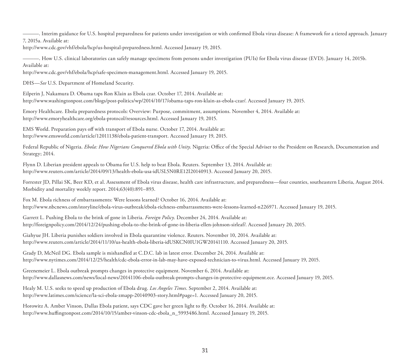———. Interim guidance for U.S. hospital preparedness for patients under investigation or with confirmed Ebola virus disease: A framework for a tiered approach. January 7, 2015a. Available at:

[http://www.cdc.gov/vhf/ebola/hcp/us-hospital-preparedness.html.](http://www.cdc.gov/vhf/ebola/hcp/us-hospital-preparedness.html) Accessed January 19, 2015.

———. How U.S. clinical laboratories can safely manage specimens from persons under investigation (PUIs) for Ebola virus disease (EVD). January 14, 2015b. Available at:

[http://www.cdc.gov/vhf/ebola/hcp/safe-specimen-management.html.](http://www.cdc.gov/vhf/ebola/hcp/safe-specimen-management.html) Accessed January 19, 2015.

DHS—*See* U.S. Department of Homeland Security.

Eilperin J, Nakamura D. Obama taps Ron Klain as Ebola czar. October 17, 2014. Available at: [http://www.washingtonpost.com/blogs/post-politics/wp/2014/10/17/obama-taps-ron-klain-as-ebola-czar/.](http://www.washingtonpost.com/blogs/post-politics/wp/2014/10/17/obama-taps-ron-klain-as-ebola-czar/) Accessed January 19, 2015.

Emory Healthcare. Ebola preparedness protocols: Overview: Purpose, commitment, assumptions. November 4, 2014. Available at: [http://www.emoryhealthcare.org/ebola-protocol/resources.html.](http://www.emoryhealthcare.org/ebola-protocol/resources.html) Accessed January 19, 2015.

EMS World. Preparation pays off with transport of Ebola nurse. October 17, 2014. Available at: [http://www.emsworld.com/article/12011138/ebola-patient-transport.](http://www.emsworld.com/article/12011138/ebola-patient-transport) Accessed January 19, 2015.

Federal Republic of Nigeria. *Ebola: How Nigerians Conquered Ebola with Unity*. Nigeria: Office of the Special Adviser to the President on Research, Documentation and Strategy; 2014.

Flynn D. Liberian president appeals to Obama for U.S. help to beat Ebola. Reuters. September 13, 2014. Available at: [http://www.reuters.com/article/2014/09/13/health-ebola-usa-idUSL5N0RE12I20140913.](http://www.reuters.com/article/2014/09/13/health-ebola-usa-idUSL5N0RE12I20140913) Accessed January 20, 2015.

Forrester JD, Pillai SK, Beer KD, et al. Assessment of Ebola virus disease, health care infrastructure, and preparedness—four counties, southeastern Liberia, August 2014. Morbidity and mortality weekly report. 2014;63(40):891–893.

Fox M. Ebola richness of embarrassments: Were lessons learned? October 16, 2014. Available at: [http://www.nbcnews.com/storyline/ebola-virus-outbreak/ebola-richness-embarrassments-were-lessons-learned-n226971.](http://www.nbcnews.com/storyline/ebola-virus-outbreak/ebola-richness-embarrassments-were-lessons-learned-n226971) Accessed January 19, 2015.

Garrett L. Pushing Ebola to the brink of gone in Liberia. *Foreign Policy*. December 24, 2014. Available at: [http://foreignpolicy.com/2014/12/24/pushing-ebola-to-the-brink-of-gone-in-liberia-ellen-johnson-sirleaf/.](http://foreignpolicy.com/2014/12/24/pushing-ebola-to-the-brink-of-gone-in-liberia-ellen-johnson-sirleaf/) Accessed January 20, 2015.

Giahyue JH. Liberia punishes soldiers involved in Ebola quarantine violence. Reuters. November 10, 2014. Available at: [http://www.reuters.com/article/2014/11/10/us-health-ebola-liberia-idUSKCN0IU1GW20141110.](http://www.reuters.com/article/2014/11/10/us-health-ebola-liberia-idUSKCN0IU1GW20141110) Accessed January 20, 2015.

Grady D, McNeil DG. Ebola sample is mishandled at C.D.C. lab in latest error. December 24, 2014. Available at: [http://www.nytimes.com/2014/12/25/health/cdc-ebola-error-in-lab-may-have-exposed-technician-to-virus.html.](http://www.nytimes.com/2014/12/25/health/cdc-ebola-error-in-lab-may-have-exposed-technician-to-virus.html) Accessed January 19, 2015.

Greenemeier L. Ebola outbreak prompts changes in protective equipment. November 6, 2014. Available at: [http://www.dallasnews.com/news/local-news/20141106-ebola-outbreak-prompts-changes-in-protective-equipment.ece.](http://www.dallasnews.com/news/local-news/20141106-ebola-outbreak-prompts-changes-in-protective-equipment.ece) Accessed January 19, 2015.

Healy M. U.S. seeks to speed up production of Ebola drug. *Los Angeles Times*. September 2, 2014. Available at: [http://www.latimes.com/science/la-sci-ebola-zmapp-20140903-story.html#page=1.](http://www.latimes.com/science/la-sci-ebola-zmapp-20140903-story.html#page=1) Accessed January 20, 2015.

Horowitz A. Amber Vinson, Dallas Ebola patient, says CDC gave her green light to fly. October 16, 2014. Available at: [http://www.huffingtonpost.com/2014/10/15/amber-vinson-cdc-ebola\\_n\\_5993486.html.](http://www.huffingtonpost.com/2014/10/15/amber-vinson-cdc-ebola_n_5993486.html) Accessed January 19, 2015.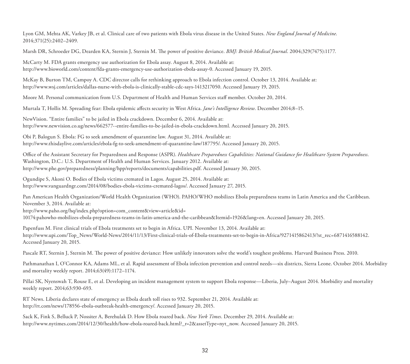Lyon GM, Mehta AK, Varkey JB, et al. Clinical care of two patients with Ebola virus disease in the United States. *New England Journal of Medicine*. 2014;371(25):2402–2409.

Marsh DR, Schroeder DG, Dearden KA, Sternin J, Sternin M. The power of positive deviance. *BMJ: British Medical Journal*. 2004;329(7475):1177.

McCarty M. FDA grants emergency use authorization for Ebola assay. August 8, 2014. Available at: [http://www.bioworld.com/content/fda-grants-emergency-use-authorization-ebola-assay-0.](http://www.bioworld.com/content/fda-grants-emergency-use-authorization-ebola-assay-0) Accessed January 19, 2015.

McKay B, Burton TM, Campoy A. CDC director calls for rethinking approach to Ebola infection control. October 13, 2014. Available at: [http://www.wsj.com/articles/dallas-nurse-with-ebola-is-clinically-stable-cdc-says-1413217050.](http://www.wsj.com/articles/dallas-nurse-with-ebola-is-clinically-stable-cdc-says-1413217050) Accessed January 19, 2015.

Moore M. Personal communication from U.S. Department of Health and Human Services staff member. October 20, 2014.

Murtala T, Hollis M. Spreading fear: Ebola epidemic affects security in West Africa. *Jane's Intelligence Review*. December 2014;8–15.

NewVision. "Entire families" to be jailed in Ebola crackdown. December 6, 2014. Available at: [http://www.newvision.co.ug/news/662577--entire-families-to-be-jailed-in-ebola-crackdown.html.](http://www.newvision.co.ug/news/662577--entire-families-to-be-jailed-in-ebola-crackdown.html) Accessed January 20, 2015.

Obi P, Balogun S. Ebola: FG to seek amendment of quarantine law. August 31, 2014. Available at: [http://www.thisdaylive.com/articles/ebola-fg-to-seek-amendment-of-quarantine-law/187795/.](http://www.thisdaylive.com/articles/ebola-fg-to-seek-amendment-of-quarantine-law/187795/) Accessed January 20, 2015.

Office of the Assistant Secretary for Preparedness and Response (ASPR). *Healthcare Preparedness Capabilities: National Guidance for Healthcare System Preparedness*. Washington, D.C.: U.S. Department of Health and Human Services. January 2012. Available at: [http://www.phe.gov/preparedness/planning/hpp/reports/documents/capabilities.pdf.](http://www.phe.gov/preparedness/planning/hpp/reports/documents/capabilities.pdf) Accessed January 30, 2015.

Ogundipe S, Akoni O. Bodies of Ebola victims cremated in Lagos. August 25, 2014. Available at: [http://www.vanguardngr.com/2014/08/bodies-ebola-victims-cremated-lagos/.](http://www.vanguardngr.com/2014/08/bodies-ebola-victims-cremated-lagos/) Accessed January 27, 2015.

Pan American Health Organization/World Health Organization (WHO). PAHO/WHO mobilizes Ebola preparedness teams in Latin America and the Caribbean. November 3, 2014. Available at:

http://www.paho.org/hq/index.php?option=com\_content&view=article&id=

[10174:pahowho-mobilizes-ebola-preparedness-teams-in-latin-america-and-the-caribbean&Itemid=1926&lang=en. Accessed January 20, 2015.](http://www.paho.org/hq/index.php?option=com_content&view=article&id=10174:pahowho-mobilizes-ebola-preparedness-teams-in-latin-america-and-the-caribbean&Itemid=1926&lang=en. Accessed January 20, 2015)

Papenfuss M. First clinical trials of Ebola treatments set to begin in Africa. UPI. November 13, 2014. Available at: [http://www.upi.com/Top\\_News/World-News/2014/11/13/First-clinical-trials-of-Ebola-treatments-set-to-begin-in-Africa/9271415862413/?st\\_rec=6871416588142.](http://www.upi.com/Top_News/World-News/2014/11/13/First-clinical-trials-of-Ebola-treatments-set-to-begin-in-Africa/9271415862413/?st_rec=6871416588142) Accessed January 20, 2015.

Pascale RT, Sternin J, Sternin M. The power of positive deviance: How unlikely innovators solve the world's toughest problems. Harvard Business Press. 2010.

Pathmanathan I, O'Connor KA, Adams ML, et al. Rapid assessment of Ebola infection prevention and control needs—six districts, Sierra Leone. October 2014. Morbidity and mortality weekly report. 2014;63(49):1172–1174.

Pillai SK, Nyenswah T, Rouse E, et al. Developing an incident management system to support Ebola response—Liberia, July–August 2014. Morbidity and mortality weekly report. 2014;63:930-693.

RT News. Liberia declares state of emergency as Ebola death toll rises to 932. September 21, 2014. Available at: [http://rt.com/news/178556-ebola-outbreak-health-emergency/.](http://rt.com/news/178556-ebola-outbreak-health-emergency/) Accessed January 20, 2015.

Sack K, Fink S, Belluck P, Nossiter A, Berehulak D. How Ebola roared back. *New York Times*. December 29, 2014. Available at: [http://www.nytimes.com/2014/12/30/health/how-ebola-roared-back.html?\\_r=2&assetType=nyt\\_now](http://www.nytimes.com/2014/12/30/health/how-ebola-roared-back.html?_r=2&assetType=nyt_now). Accessed January 20, 2015.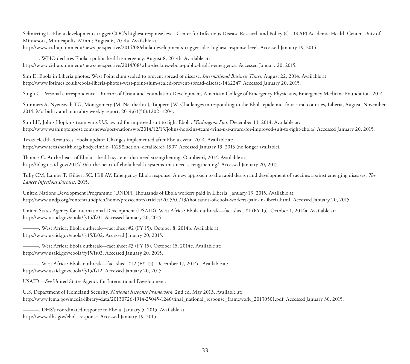Schnirring L. Ebola developments trigger CDC's highest response level. Center for Infectious Disease Research and Policy (CIDRAP) Academic Health Center. Univ of Minnesota, Minneapolis, Minn.; August 6, 2014a. Available at:

<http://www.cidrap.umn.edu/news-perspective/2014/08/ebola-developments-trigger-cdcs-highest-response-level>. Accessed January 19, 2015.

———. WHO declares Ebola a public health emergency. August 8, 2014b. Available at: [http://www.cidrap.umn.edu/news-perspective/2014/08/who-declares-ebola-public-health-emergency.](http://www.cidrap.umn.edu/news-perspective/2014/08/who-declares-ebola-public-health-emergency) Accessed January 20, 2015.

Sim D. Ebola in Liberia photos: West Point slum sealed to prevent spread of disease. *International Business Times*. August 22, 2014. Available at: [http://www.ibtimes.co.uk/ebola-liberia-photos-west-point-slum-sealed-prevent-spread-disease-1462247.](http://www.ibtimes.co.uk/ebola-liberia-photos-west-point-slum-sealed-prevent-spread-disease-1462247) Accessed January 20, 2015.

Singh C. Personal correspondence. Director of Grant and Foundation Development, American College of Emergency Physicians, Emergency Medicine Foundation. 2014.

Summers A, Nyenswah TG, Montgomery JM, Neatherlin J, Tappero JW. Challenges in responding to the Ebola epidemic–four rural counties, Liberia, August–November 2014. Morbidity and mortality weekly report. 2014;63(50):1202–1204.

Sun LH, Johns Hopkins team wins U.S. award for improved suit to fight Ebola. *Washington Post*. December 13, 2014. Available at: [http://www.washingtonpost.com/news/post-nation/wp/2014/12/13/johns-hopkins-team-wins-u-s-award-for-improved-suit-to-fight-ebola/.](http://www.washingtonpost.com/news/post-nation/wp/2014/12/13/johns-hopkins-team-wins-u-s-award-for-improved-suit-to-fight-ebola/) Accessed January 20, 2015.

Texas Health Resources. Ebola update: Changes implemented after Ebola event. 2014. Available at: [http://www.texashealth.org/body.cfm?id=1629&action=detail&ref=1907.](http://www.texashealth.org/body.cfm?id=1629&action=detail&ref=1907) Accessed January 19, 2015 (no longer available).

Thomas C. At the heart of Ebola—health systems that need strengthening. October 6, 2014. Available at: [http://blog.usaid.gov/2014/10/at-the-heart-of-ebola-health-systems-that-need-strengthening/.](http://blog.usaid.gov/2014/10/at-the-heart-of-ebola-health-systems-that-need-strengthening/) Accessed January 20, 2015.

Tully CM, Lambe T, Gilbert SC, Hill AV. Emergency Ebola response: A new approach to the rapid design and development of vaccines against emerging diseases. *The Lancet Infectious Diseases*. 2015.

United Nations Development Programme (UNDP). Thousands of Ebola workers paid in Liberia. January 13, 2015. Available at: [http://www.undp.org/content/undp/en/home/presscenter/articles/2015/01/13/thousands-of-ebola-workers-paid-in-liberia.html.](http://www.undp.org/content/undp/en/home/presscenter/articles/2015/01/13/thousands-of-ebola-workers-paid-in-liberia.html) Accessed January 20, 2015.

United States Agency for International Development (USAID). West Africa: Ebola outbreak—fact sheet #1 (FY 15). October 1, 2014a. Available at: [http://www.usaid.gov/ebola/fy15/fs01.](http://www.usaid.gov/ebola/fy15/fs01) Accessed January 20, 2015.

———. West Africa: Ebola outbreak—fact sheet #2 (FY 15). October 8, 2014b. Available at: [http://www.usaid.gov/ebola/fy15/fs02.](http://www.usaid.gov/ebola/fy15/fs02) Accessed January 20, 2015.

———. West Africa: Ebola outbreak—fact sheet #3 (FY 15). October 15, 2014c. Available at: <http://www.usaid.gov/ebola/fy15/fs03>. Accessed January 20, 2015.

———. West Africa: Ebola outbreak—fact sheet #12 (FY 15). December 17, 2014d. Available at: [http://www.usaid.gov/ebola/fy15/fs12.](http://www.usaid.gov/ebola/fy15/fs12) Accessed January 20, 2015.

USAID—*See* United States Agency for International Development.

U.S. Department of Homeland Security. *National Response Framework*. 2nd ed. May 2013. Available at: [http://www.fema.gov/media-library-data/20130726-1914-25045-1246/final\\_national\\_response\\_framework\\_20130501.pdf.](http://www.fema.gov/media-library-data/20130726-1914-25045-1246/final_national_response_framework_20130501.pdf) Accessed January 30, 2015.

———. DHS's coordinated response to Ebola. January 5, 2015. Available at: [http://www.dhs.gov/ebola-response.](http://www.dhs.gov/ebola-response) Accessed January 19, 2015.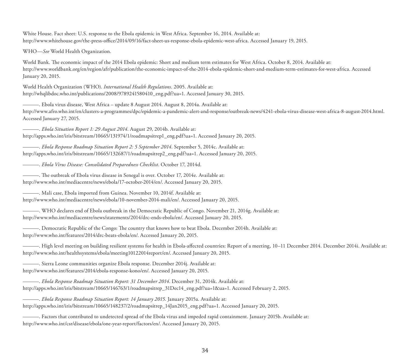White House. Fact sheet: U.S. response to the Ebola epidemic in West Africa. September 16, 2014. Available at: [http://www.whitehouse.gov/the-press-office/2014/09/16/fact-sheet-us-response-ebola-epidemic-west-africa.](http://www.whitehouse.gov/the-press-office/2014/09/16/fact-sheet-us-response-ebola-epidemic-west-africa) Accessed January 19, 2015.

WHO—*See* World Health Organization.

World Bank. The economic impact of the 2014 Ebola epidemic: Short and medium term estimates for West Africa. October 8, 2014. Available at: [http://www.worldbank.org/en/region/afr/publication/the-economic-impact-of-the-2014-ebola-epidemic-short-and-medium-term-estimates-for-west-africa.](http://www.worldbank.org/en/region/afr/publication/the-economic-impact-of-the-2014-ebola-epidemic-short-and-medium-term-estimates-for-west-africa) Accessed January 20, 2015.

World Health Organization (WHO). *International Health Regulations*. 2005. Available at: [http://whqlibdoc.who.int/publications/2008/9789241580410\\_eng.pdf?ua=1.](http://whqlibdoc.who.int/publications/2008/9789241580410_eng.pdf?ua=1) Accessed January 30, 2015.

———. Ebola virus disease, West Africa – update 8 August 2014. August 8, 2014a. Available at: [http://www.afro.who.int/en/clusters-a-programmes/dpc/epidemic-a-pandemic-alert-and-response/outbreak-news/4241-ebola-virus-disease-west-africa-8-august-2014.html.](http://www.afro.who.int/en/clusters-a-programmes/dpc/epidemic-a-pandemic-alert-and-response/outbreak-news/4241-ebola-virus-disease-west-africa-8-august-2014.html) Accessed January 27, 2015.

———. *Ebola Situation Report 1: 29 August 2014*. August 29, 2014b. Available at: [http://apps.who.int/iris/bitstream/10665/131974/1/roadmapsitrep1\\_eng.pdf?ua=1.](http://apps.who.int/iris/bitstream/10665/131974/1/roadmapsitrep1_eng.pdf?ua=1) Accessed January 20, 2015.

———. *Ebola Response Roadmap Situation Report 2: 5 September 2014*. September 5, 2014c. Available at: [http://apps.who.int/iris/bitstream/10665/132687/1/roadmapsitrep2\\_eng.pdf?ua=1.](http://apps.who.int/iris/bitstream/10665/132687/1/roadmapsitrep2_eng.pdf?ua=1) Accessed January 20, 2015.

———. *Ebola Virus Disease: Consolidated Preparedness Checklist*. October 17, 2014d.

———. The outbreak of Ebola virus disease in Senegal is over. October 17, 2014e. Available at: [http://www.who.int/mediacentre/news/ebola/17-october-2014/en/.](http://www.who.int/mediacentre/news/ebola/17-october-2014/en/) Accessed January 20, 2015.

———. Mali case, Ebola imported from Guinea. November 10, 2014f. Available at:

[http://www.who.int/mediacentre/news/ebola/10-november-2014-mali/en/.](http://www.who.int/mediacentre/news/ebola/10-november-2014-mali/en/) Accessed January 20, 2015.

———. WHO declares end of Ebola outbreak in the Democratic Republic of Congo. November 21, 2014g. Available at: [http://www.who.int/mediacentre/news/statements/2014/drc-ends-ebola/en/.](http://www.who.int/mediacentre/news/statements/2014/drc-ends-ebola/en/) Accessed January 20, 2015.

———. Democratic Republic of the Congo: The country that knows how to beat Ebola. December 2014h. Available at: [http://www.who.int/features/2014/drc-beats-ebola/en/.](http://www.who.int/features/2014/drc-beats-ebola/en/) Accessed January 20, 2015.

———. High level meeting on building resilient systems for health in Ebola-affected countries: Report of a meeting, 10–11 December 2014. December 2014i. Available at: [http://www.who.int/healthsystems/ebola/meeting10122014report/en/.](http://www.who.int/healthsystems/ebola/meeting10122014report/en/) Accessed January 20, 2015.

———. Sierra Leone communities organize Ebola response. December 2014j. Available at: [http://www.who.int/features/2014/ebola-response-kono/en/.](http://www.who.int/features/2014/ebola-response-kono/en/) Accessed January 20, 2015.

———. *Ebola Response Roadmap Situation Report: 31 December 2014*. December 31, 2014k. Available at: [http://apps.who.int/iris/bitstream/10665/146763/1/roadmapsitrep\\_31Dec14\\_eng.pdf?ua=1&ua=1.](http://apps.who.int/iris/bitstream/10665/146763/1/roadmapsitrep_31Dec14_eng.pdf?ua=1&ua=1) Accessed February 2, 2015.

———. *Ebola Response Roadmap Situation Report: 14 January 2015*. January 2015a. Available at: [http://apps.who.int/iris/bitstream/10665/148237/2/roadmapsitrep\\_14Jan2015\\_eng.pdf?ua=1.](http://apps.who.int/iris/bitstream/10665/148237/2/roadmapsitrep_14Jan2015_eng.pdf?ua=1) Accessed January 20, 2015.

———. Factors that contributed to undetected spread of the Ebola virus and impeded rapid containment. January 2015b. Available at: [http://www.who.int/csr/disease/ebola/one-year-report/factors/en/.](http://www.who.int/csr/disease/ebola/one-year-report/factors/en/) Accessed January 20, 2015.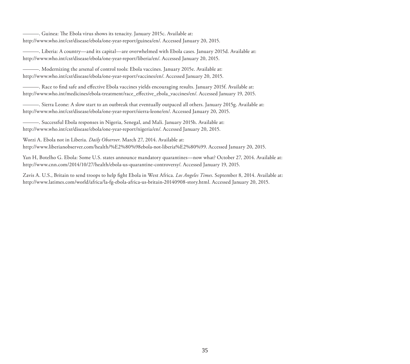———. Guinea: The Ebola virus shows its tenacity. January 2015c. Available at: [http://www.who.int/csr/disease/ebola/one-year-report/guinea/en/.](http://www.who.int/csr/disease/ebola/one-year-report/guinea/en/) Accessed January 20, 2015.

———. Liberia: A country—and its capital—are overwhelmed with Ebola cases. January 2015d. Available at: [http://www.who.int/csr/disease/ebola/one-year-report/liberia/en/.](http://www.who.int/csr/disease/ebola/one-year-report/liberia/en/) Accessed January 20, 2015.

———. Modernizing the arsenal of control tools: Ebola vaccines. January 2015e. Available at: [http://www.who.int/csr/disease/ebola/one-year-report/vaccines/en/.](http://www.who.int/csr/disease/ebola/one-year-report/vaccines/en/) Accessed January 20, 2015.

———. Race to find safe and effective Ebola vaccines yields encouraging results. January 2015f. Available at: [http://www.who.int/medicines/ebola-treatment/race\\_effective\\_ebola\\_vaccines/en/.](http://www.who.int/medicines/ebola-treatment/race_effective_ebola_vaccines/en/) Accessed January 19, 2015.

———. Sierra Leone: A slow start to an outbreak that eventually outpaced all others. January 2015g. Available at: [http://www.who.int/csr/disease/ebola/one-year-report/sierra-leone/en/.](http://www.who.int/csr/disease/ebola/one-year-report/sierra-leone/en/) Accessed January 20, 2015.

———. Successful Ebola responses in Nigeria, Senegal, and Mali. January 2015h. Available at: [http://www.who.int/csr/disease/ebola/one-year-report/nigeria/en/.](http://www.who.int/csr/disease/ebola/one-year-report/nigeria/en/) Accessed January 20, 2015.

Worzi A. Ebola not in Liberia. *Daily Observer*. March 27, 2014. Available at: [http://www.liberianobserver.com/health/%E2%80%98ebola-not-liberia%E2%80%99.](http://www.liberianobserver.com/health/%E2%80%98ebola-not-liberia%E2%80%99) Accessed January 20, 2015.

Yan H, Botelho G. Ebola: Some U.S. states announce mandatory quarantines—now what? October 27, 2014. Available at: [http://www.cnn.com/2014/10/27/health/ebola-us-quarantine-controversy/.](http://www.cnn.com/2014/10/27/health/ebola-us-quarantine-controversy/) Accessed January 19, 2015.

Zavis A. U.S., Britain to send troops to help fight Ebola in West Africa. *Los Angeles Times*. September 8, 2014. Available at: [http://www.latimes.com/world/africa/la-fg-ebola-africa-us-britain-20140908-story.html.](http://www.latimes.com/world/africa/la-fg-ebola-africa-us-britain-20140908-story.html) Accessed January 20, 2015.